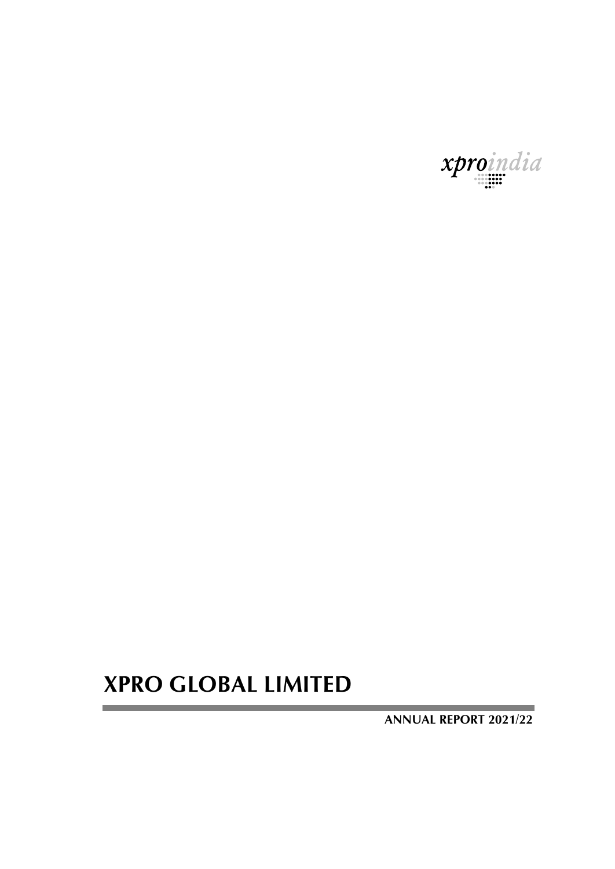

# **XPRO GLOBAL LIMITED**

**ANNUAL REPORT 2021/22**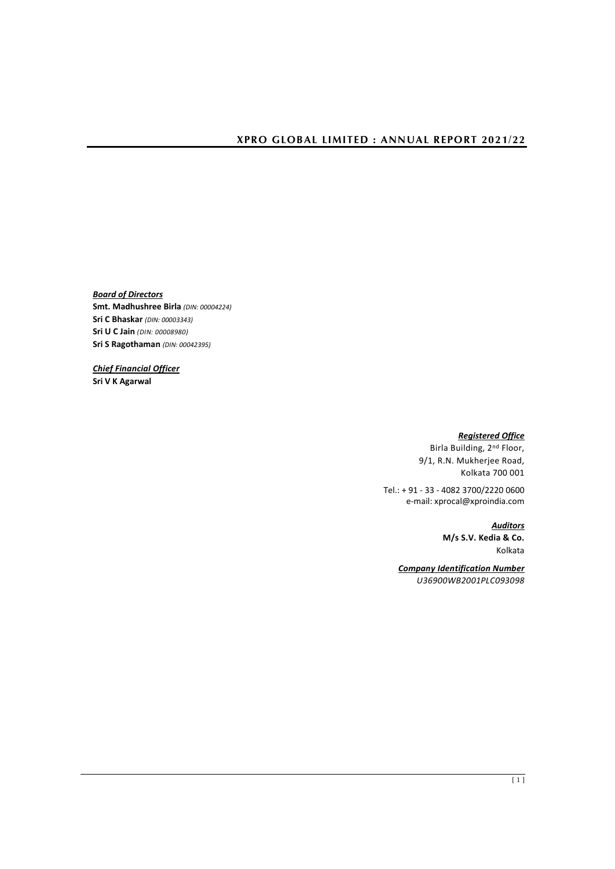*Board of Directors* **Smt. Madhushree Birla** *(DIN: 00004224)* **Sri C Bhaskar** *(DIN: 00003343)* **Sri U C Jain** *(DIN: 00008980)* **Sri S Ragothaman** *(DIN: 00042395)*

*Chief Financial Officer* **Sri V K Agarwal** 

## *Registered Office*

Birla Building, 2<sup>nd</sup> Floor, 9/1, R.N. Mukherjee Road, Kolkata 700 001

Tel.: + 91 - 33 - 4082 3700/2220 0600 e-mail: xprocal@xproindia.com

> *Auditors* **M/s S.V. Kedia & Co.** Kolkata

*Company Identification Number U36900WB2001PLC093098*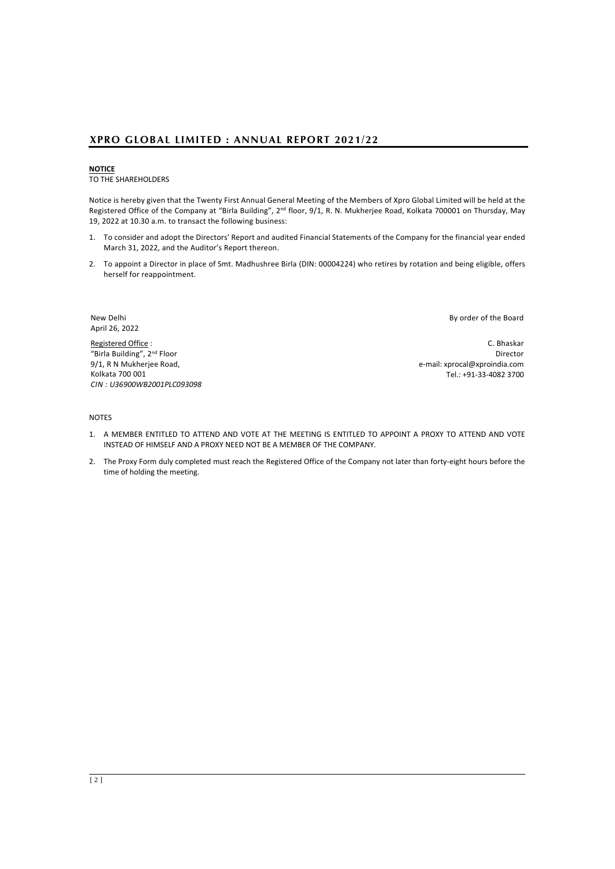### **NOTICE**

TO THE SHAREHOLDERS

Notice is hereby given that the Twenty First Annual General Meeting of the Members of Xpro Global Limited will be held at the Registered Office of the Company at "Birla Building", 2<sup>nd</sup> floor, 9/1, R. N. Mukherjee Road, Kolkata 700001 on Thursday, May 19, 2022 at 10.30 a.m. to transact the following business:

- 1. To consider and adopt the Directors' Report and audited Financial Statements of the Company for the financial year ended March 31, 2022, and the Auditor's Report thereon.
- 2. To appoint a Director in place of Smt. Madhushree Birla (DIN: 00004224) who retires by rotation and being eligible, offers herself for reappointment.

April 26, 2022

**Registered Office :** C. Bhaskar "Birla Building", 2nd Floor Director 9/1, R N Mukherjee Road, e-mail: xprocal@xproindia.com<br>1991. Kolkata 700 001 *CIN : U36900WB2001PLC093098*

New Delhi By order of the Board New Delhi By order of the Board

Tel.: +91-33-4082 3700

#### NOTES

- 1. A MEMBER ENTITLED TO ATTEND AND VOTE AT THE MEETING IS ENTITLED TO APPOINT A PROXY TO ATTEND AND VOTE INSTEAD OF HIMSELF AND A PROXY NEED NOT BE A MEMBER OF THE COMPANY.
- 2. The Proxy Form duly completed must reach the Registered Office of the Company not later than forty-eight hours before the time of holding the meeting.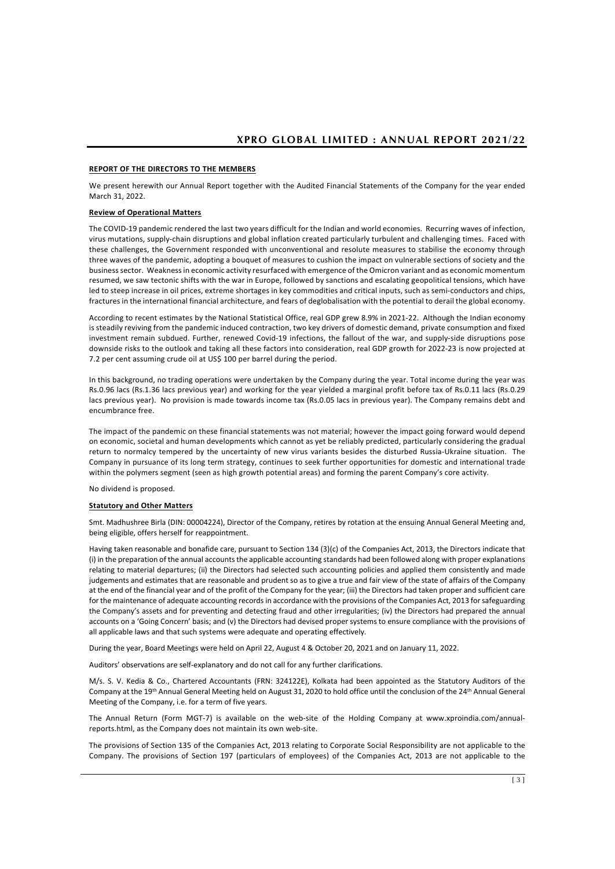#### **REPORT OF THE DIRECTORS TO THE MEMBERS**

We present herewith our Annual Report together with the Audited Financial Statements of the Company for the year ended March 31, 2022.

### **Review of Operational Matters**

The COVID-19 pandemic rendered the last two years difficult for the Indian and world economies. Recurring waves of infection, virus mutations, supply-chain disruptions and global inflation created particularly turbulent and challenging times. Faced with these challenges, the Government responded with unconventional and resolute measures to stabilise the economy through three waves of the pandemic, adopting a bouquet of measures to cushion the impact on vulnerable sections of society and the business sector. Weakness in economic activity resurfaced with emergence of the Omicron variant and as economic momentum resumed, we saw tectonic shifts with the war in Europe, followed by sanctions and escalating geopolitical tensions, which have led to steep increase in oil prices, extreme shortages in key commodities and critical inputs, such as semi-conductors and chips, fractures in the international financial architecture, and fears of deglobalisation with the potential to derail the global economy.

According to recent estimates by the National Statistical Office, real GDP grew 8.9% in 2021-22. Although the Indian economy is steadily reviving from the pandemic induced contraction, two key drivers of domestic demand, private consumption and fixed investment remain subdued. Further, renewed Covid-19 infections, the fallout of the war, and supply-side disruptions pose downside risks to the outlook and taking all these factors into consideration, real GDP growth for 2022-23 is now projected at 7.2 per cent assuming crude oil at US\$ 100 per barrel during the period.

In this background, no trading operations were undertaken by the Company during the year. Total income during the year was Rs.0.96 lacs (Rs.1.36 lacs previous year) and working for the year yielded a marginal profit before tax of Rs.0.11 lacs (Rs.0.29 lacs previous year). No provision is made towards income tax (Rs.0.05 lacs in previous year). The Company remains debt and encumbrance free.

The impact of the pandemic on these financial statements was not material; however the impact going forward would depend on economic, societal and human developments which cannot as yet be reliably predicted, particularly considering the gradual return to normalcy tempered by the uncertainty of new virus variants besides the disturbed Russia-Ukraine situation. The Company in pursuance of its long term strategy, continues to seek further opportunities for domestic and international trade within the polymers segment (seen as high growth potential areas) and forming the parent Company's core activity.

No dividend is proposed.

#### **Statutory and Other Matters**

Smt. Madhushree Birla (DIN: 00004224), Director of the Company, retires by rotation at the ensuing Annual General Meeting and, being eligible, offers herself for reappointment.

Having taken reasonable and bonafide care, pursuant to Section 134 (3)(c) of the Companies Act, 2013, the Directors indicate that (i) in the preparation of the annual accounts the applicable accounting standards had been followed along with proper explanations relating to material departures; (ii) the Directors had selected such accounting policies and applied them consistently and made judgements and estimates that are reasonable and prudent so as to give a true and fair view of the state of affairs of the Company at the end of the financial year and of the profit of the Company for the year; (iii) the Directors had taken proper and sufficient care for the maintenance of adequate accounting records in accordance with the provisions of the Companies Act, 2013 for safeguarding the Company's assets and for preventing and detecting fraud and other irregularities; (iv) the Directors had prepared the annual accounts on a 'Going Concern' basis; and (v) the Directors had devised proper systems to ensure compliance with the provisions of all applicable laws and that such systems were adequate and operating effectively.

During the year, Board Meetings were held on April 22, August 4 & October 20, 2021 and on January 11, 2022.

Auditors' observations are self-explanatory and do not call for any further clarifications.

M/s. S. V. Kedia & Co., Chartered Accountants (FRN: 324122E), Kolkata had been appointed as the Statutory Auditors of the Company at the 19<sup>th</sup> Annual General Meeting held on August 31, 2020 to hold office until the conclusion of the 24<sup>th</sup> Annual General Meeting of the Company, i.e. for a term of five years.

The Annual Return (Form MGT-7) is available on the web-site of the Holding Company at [www.xproindia.com/annual](http://www.xproindia.com/annual-reports.html)[reports.html,](http://www.xproindia.com/annual-reports.html) as the Company does not maintain its own web-site.

The provisions of Section 135 of the Companies Act, 2013 relating to Corporate Social Responsibility are not applicable to the Company. The provisions of Section 197 (particulars of employees) of the Companies Act, 2013 are not applicable to the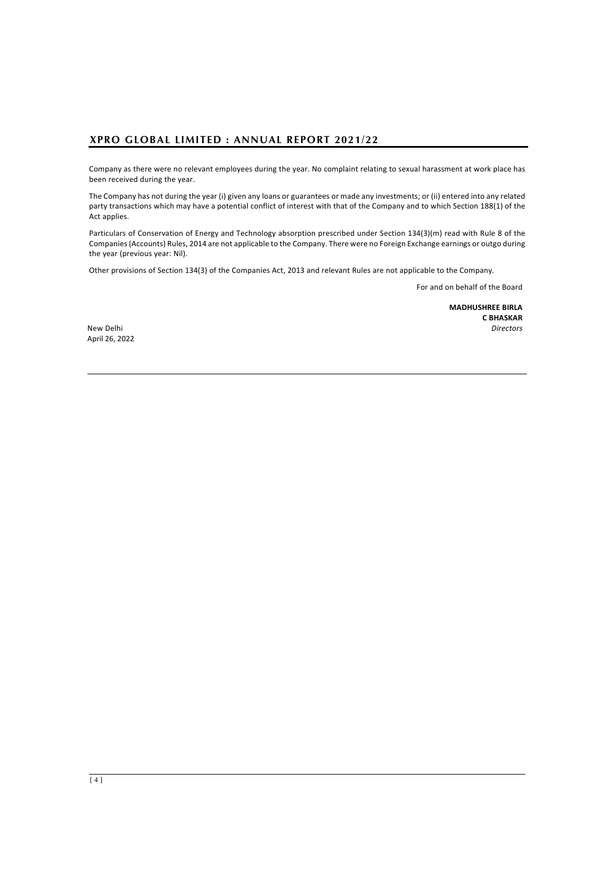Company as there were no relevant employees during the year. No complaint relating to sexual harassment at work place has been received during the year.

The Company has not during the year (i) given any loans or guarantees or made any investments; or (ii) entered into any related party transactions which may have a potential conflict of interest with that of the Company and to which Section 188(1) of the Act applies.

Particulars of Conservation of Energy and Technology absorption prescribed under Section 134(3)(m) read with Rule 8 of the Companies (Accounts) Rules, 2014 are not applicable to the Company. There were no Foreign Exchange earnings or outgo during the year (previous year: Nil).

Other provisions of Section 134(3) of the Companies Act, 2013 and relevant Rules are not applicable to the Company.

For and on behalf of the Board

**MADHUSHREE BIRLA C BHASKAR** New Delhi *Directors*

April 26, 2022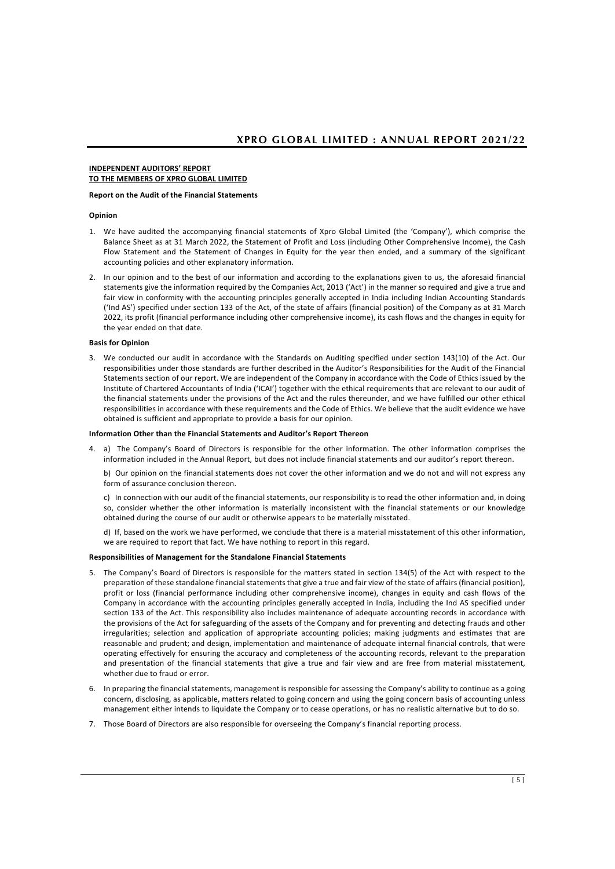#### **INDEPENDENT AUDITORS' REPORT TO THE MEMBERS OF XPRO GLOBAL LIMITED**

#### **Report on the Audit of the Financial Statements**

#### **Opinion**

- 1. We have audited the accompanying financial statements of Xpro Global Limited (the 'Company'), which comprise the Balance Sheet as at 31 March 2022, the Statement of Profit and Loss (including Other Comprehensive Income), the Cash Flow Statement and the Statement of Changes in Equity for the year then ended, and a summary of the significant accounting policies and other explanatory information.
- 2. In our opinion and to the best of our information and according to the explanations given to us, the aforesaid financial statements give the information required by the Companies Act, 2013 ('Act') in the manner so required and give a true and fair view in conformity with the accounting principles generally accepted in India including Indian Accounting Standards ('Ind AS') specified under section 133 of the Act, of the state of affairs (financial position) of the Company as at 31 March 2022, its profit (financial performance including other comprehensive income), its cash flows and the changes in equity for the year ended on that date.

### **Basis for Opinion**

3. We conducted our audit in accordance with the Standards on Auditing specified under section 143(10) of the Act. Our responsibilities under those standards are further described in the Auditor's Responsibilities for the Audit of the Financial Statements section of our report. We are independent of the Company in accordance with the Code of Ethics issued by the Institute of Chartered Accountants of India ('ICAI') together with the ethical requirements that are relevant to our audit of the financial statements under the provisions of the Act and the rules thereunder, and we have fulfilled our other ethical responsibilities in accordance with these requirements and the Code of Ethics. We believe that the audit evidence we have obtained is sufficient and appropriate to provide a basis for our opinion.

#### **Information Other than the Financial Statements and Auditor's Report Thereon**

4. a) The Company's Board of Directors is responsible for the other information. The other information comprises the information included in the Annual Report, but does not include financial statements and our auditor's report thereon.

b) Our opinion on the financial statements does not cover the other information and we do not and will not express any form of assurance conclusion thereon.

c) In connection with our audit of the financial statements, our responsibility is to read the other information and, in doing so, consider whether the other information is materially inconsistent with the financial statements or our knowledge obtained during the course of our audit or otherwise appears to be materially misstated.

d) If, based on the work we have performed, we conclude that there is a material misstatement of this other information, we are required to report that fact. We have nothing to report in this regard.

#### **Responsibilities of Management for the Standalone Financial Statements**

- 5. The Company's Board of Directors is responsible for the matters stated in section 134(5) of the Act with respect to the preparation of these standalone financial statements that give a true and fair view of the state of affairs (financial position), profit or loss (financial performance including other comprehensive income), changes in equity and cash flows of the Company in accordance with the accounting principles generally accepted in India, including the Ind AS specified under section 133 of the Act. This responsibility also includes maintenance of adequate accounting records in accordance with the provisions of the Act for safeguarding of the assets of the Company and for preventing and detecting frauds and other irregularities; selection and application of appropriate accounting policies; making judgments and estimates that are reasonable and prudent; and design, implementation and maintenance of adequate internal financial controls, that were operating effectively for ensuring the accuracy and completeness of the accounting records, relevant to the preparation and presentation of the financial statements that give a true and fair view and are free from material misstatement, whether due to fraud or error.
- 6. In preparing the financial statements, management is responsible for assessing the Company's ability to continue as a going concern, disclosing, as applicable, matters related to going concern and using the going concern basis of accounting unless management either intends to liquidate the Company or to cease operations, or has no realistic alternative but to do so.
- 7. Those Board of Directors are also responsible for overseeing the Company's financial reporting process.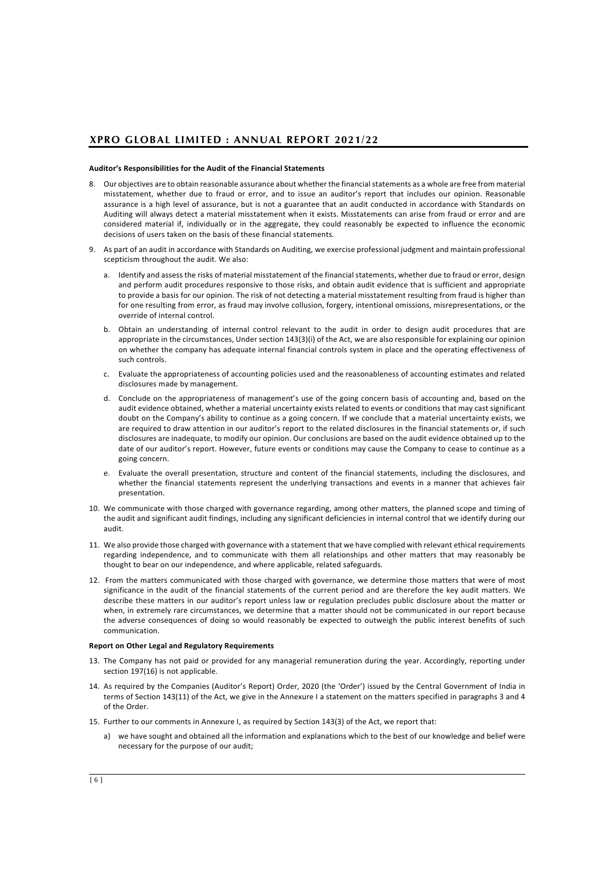#### **Auditor's Responsibilities for the Audit of the Financial Statements**

- 8. Our objectives are to obtain reasonable assurance about whether the financial statements as a whole are free from material misstatement, whether due to fraud or error, and to issue an auditor's report that includes our opinion. Reasonable assurance is a high level of assurance, but is not a guarantee that an audit conducted in accordance with Standards on Auditing will always detect a material misstatement when it exists. Misstatements can arise from fraud or error and are considered material if, individually or in the aggregate, they could reasonably be expected to influence the economic decisions of users taken on the basis of these financial statements.
- 9. As part of an audit in accordance with Standards on Auditing, we exercise professional judgment and maintain professional scepticism throughout the audit. We also:
	- a. Identify and assess the risks of material misstatement of the financial statements, whether due to fraud or error, design and perform audit procedures responsive to those risks, and obtain audit evidence that is sufficient and appropriate to provide a basis for our opinion. The risk of not detecting a material misstatement resulting from fraud is higher than for one resulting from error, as fraud may involve collusion, forgery, intentional omissions, misrepresentations, or the override of internal control.
	- b. Obtain an understanding of internal control relevant to the audit in order to design audit procedures that are appropriate in the circumstances, Under section 143(3)(i) of the Act, we are also responsible for explaining our opinion on whether the company has adequate internal financial controls system in place and the operating effectiveness of such controls.
	- c. Evaluate the appropriateness of accounting policies used and the reasonableness of accounting estimates and related disclosures made by management.
	- d. Conclude on the appropriateness of management's use of the going concern basis of accounting and, based on the audit evidence obtained, whether a material uncertainty exists related to events or conditions that may cast significant doubt on the Company's ability to continue as a going concern. If we conclude that a material uncertainty exists, we are required to draw attention in our auditor's report to the related disclosures in the financial statements or, if such disclosures are inadequate, to modify our opinion. Our conclusions are based on the audit evidence obtained up to the date of our auditor's report. However, future events or conditions may cause the Company to cease to continue as a going concern.
	- e. Evaluate the overall presentation, structure and content of the financial statements, including the disclosures, and whether the financial statements represent the underlying transactions and events in a manner that achieves fair presentation.
- 10. We communicate with those charged with governance regarding, among other matters, the planned scope and timing of the audit and significant audit findings, including any significant deficiencies in internal control that we identify during our audit.
- 11. We also provide those charged with governance with a statement that we have complied with relevant ethical requirements regarding independence, and to communicate with them all relationships and other matters that may reasonably be thought to bear on our independence, and where applicable, related safeguards.
- 12. From the matters communicated with those charged with governance, we determine those matters that were of most significance in the audit of the financial statements of the current period and are therefore the key audit matters. We describe these matters in our auditor's report unless law or regulation precludes public disclosure about the matter or when, in extremely rare circumstances, we determine that a matter should not be communicated in our report because the adverse consequences of doing so would reasonably be expected to outweigh the public interest benefits of such communication.

#### **Report on Other Legal and Regulatory Requirements**

- 13. The Company has not paid or provided for any managerial remuneration during the year. Accordingly, reporting under section 197(16) is not applicable.
- 14. As required by the Companies (Auditor's Report) Order, 2020 (the 'Order') issued by the Central Government of India in terms of Section 143(11) of the Act, we give in the Annexure I a statement on the matters specified in paragraphs 3 and 4 of the Order.
- 15. Further to our comments in Annexure I, as required by Section 143(3) of the Act, we report that:
	- a) we have sought and obtained all the information and explanations which to the best of our knowledge and belief were necessary for the purpose of our audit;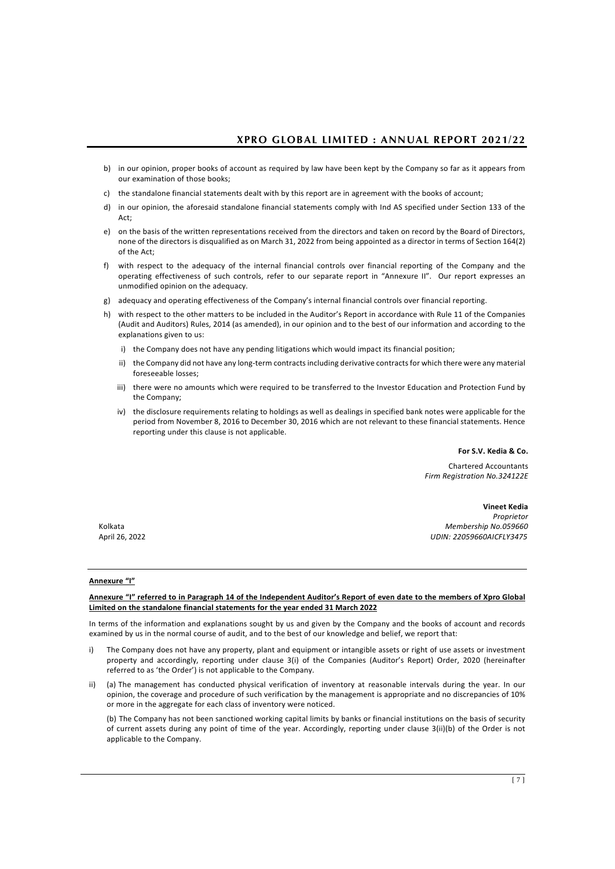- b) in our opinion, proper books of account as required by law have been kept by the Company so far as it appears from our examination of those books;
- c) the standalone financial statements dealt with by this report are in agreement with the books of account;
- d) in our opinion, the aforesaid standalone financial statements comply with Ind AS specified under Section 133 of the Act;
- e) on the basis of the written representations received from the directors and taken on record by the Board of Directors, none of the directors is disqualified as on March 31, 2022 from being appointed as a director in terms of Section 164(2) of the Act;
- f) with respect to the adequacy of the internal financial controls over financial reporting of the Company and the operating effectiveness of such controls, refer to our separate report in "Annexure II". Our report expresses an unmodified opinion on the adequacy.
- g) adequacy and operating effectiveness of the Company's internal financial controls over financial reporting.
- h) with respect to the other matters to be included in the Auditor's Report in accordance with Rule 11 of the Companies (Audit and Auditors) Rules, 2014 (as amended), in our opinion and to the best of our information and according to the explanations given to us:
	- i) the Company does not have any pending litigations which would impact its financial position;
	- ii) the Company did not have any long-term contracts including derivative contracts for which there were any material foreseeable losses;
	- iii) there were no amounts which were required to be transferred to the Investor Education and Protection Fund by the Company;
	- iv) the disclosure requirements relating to holdings as well as dealings in specified bank notes were applicable for the period from November 8, 2016 to December 30, 2016 which are not relevant to these financial statements. Hence reporting under this clause is not applicable.

**For S.V. Kedia & Co.**

Chartered Accountants *Firm Registration No.324122E* 

**Vineet Kedia**  *Proprietor*  Kolkata *Membership No.059660*  April 26, 2022 *UDIN: 22059660AICFLY3475* 

#### **Annexure "I"**

**Annexure "I" referred to in Paragraph 14 of the Independent Auditor's Report of even date to the members of Xpro Global Limited on the standalone financial statements for the year ended 31 March 2022**

In terms of the information and explanations sought by us and given by the Company and the books of account and records examined by us in the normal course of audit, and to the best of our knowledge and belief, we report that:

- i) The Company does not have any property, plant and equipment or intangible assets or right of use assets or investment property and accordingly, reporting under clause 3(i) of the Companies (Auditor's Report) Order, 2020 (hereinafter referred to as 'the Order') is not applicable to the Company.
- ii) (a) The management has conducted physical verification of inventory at reasonable intervals during the year. In our opinion, the coverage and procedure of such verification by the management is appropriate and no discrepancies of 10% or more in the aggregate for each class of inventory were noticed.

(b) The Company has not been sanctioned working capital limits by banks or financial institutions on the basis of security of current assets during any point of time of the year. Accordingly, reporting under clause 3(ii)(b) of the Order is not applicable to the Company.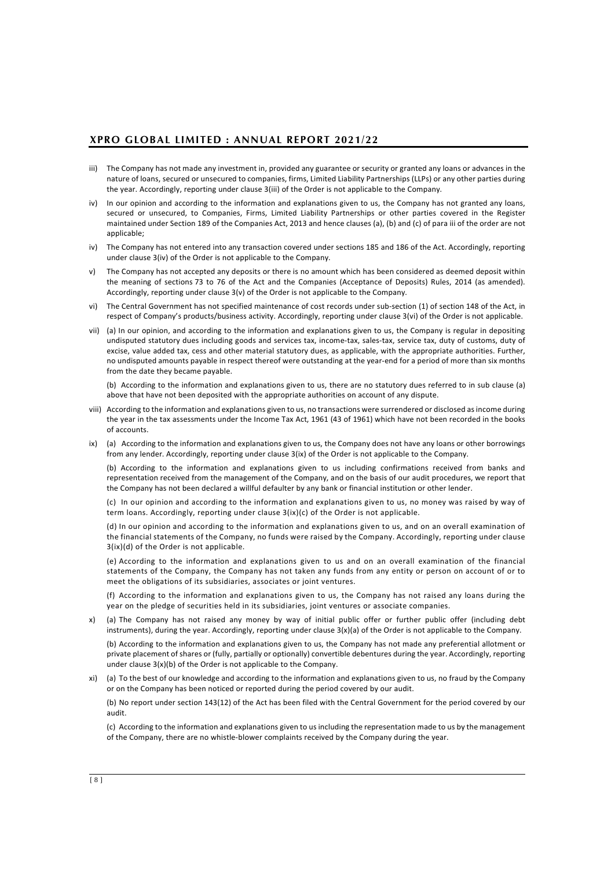- iii) The Company has not made any investment in, provided any guarantee or security or granted any loans or advances in the nature of loans, secured or unsecured to companies, firms, Limited Liability Partnerships (LLPs) or any other parties during the year. Accordingly, reporting under clause 3(iii) of the Order is not applicable to the Company.
- iv) In our opinion and according to the information and explanations given to us, the Company has not granted any loans, secured or unsecured, to Companies, Firms, Limited Liability Partnerships or other parties covered in the Register maintained under Section 189 of the Companies Act, 2013 and hence clauses (a), (b) and (c) of para iii of the order are not applicable;
- iv) The Company has not entered into any transaction covered under sections 185 and 186 of the Act. Accordingly, reporting under clause 3(iv) of the Order is not applicable to the Company.
- The Company has not accepted any deposits or there is no amount which has been considered as deemed deposit within the meaning of sections 73 to 76 of the Act and the Companies (Acceptance of Deposits) Rules, 2014 (as amended). Accordingly, reporting under clause 3(v) of the Order is not applicable to the Company.
- vi) The Central Government has not specified maintenance of cost records under sub-section (1) of section 148 of the Act, in respect of Company's products/business activity. Accordingly, reporting under clause 3(vi) of the Order is not applicable.
- vii) (a) In our opinion, and according to the information and explanations given to us, the Company is regular in depositing undisputed statutory dues including goods and services tax, income-tax, sales-tax, service tax, duty of customs, duty of excise, value added tax, cess and other material statutory dues, as applicable, with the appropriate authorities. Further, no undisputed amounts payable in respect thereof were outstanding at the year-end for a period of more than six months from the date they became payable.

(b) According to the information and explanations given to us, there are no statutory dues referred to in sub clause (a) above that have not been deposited with the appropriate authorities on account of any dispute.

- viii) According to the information and explanations given to us, no transactions were surrendered or disclosed as income during the year in the tax assessments under the Income Tax Act, 1961 (43 of 1961) which have not been recorded in the books of accounts.
- ix) (a) According to the information and explanations given to us, the Company does not have any loans or other borrowings from any lender. Accordingly, reporting under clause 3(ix) of the Order is not applicable to the Company.

(b) According to the information and explanations given to us including confirmations received from banks and representation received from the management of the Company, and on the basis of our audit procedures, we report that the Company has not been declared a willful defaulter by any bank or financial institution or other lender.

(c) In our opinion and according to the information and explanations given to us, no money was raised by way of term loans. Accordingly, reporting under clause 3(ix)(c) of the Order is not applicable.

(d) In our opinion and according to the information and explanations given to us, and on an overall examination of the financial statements of the Company, no funds were raised by the Company. Accordingly, reporting under clause 3(ix)(d) of the Order is not applicable.

(e) According to the information and explanations given to us and on an overall examination of the financial statements of the Company, the Company has not taken any funds from any entity or person on account of or to meet the obligations of its subsidiaries, associates or joint ventures.

(f) According to the information and explanations given to us, the Company has not raised any loans during the year on the pledge of securities held in its subsidiaries, joint ventures or associate companies.

x) (a) The Company has not raised any money by way of initial public offer or further public offer (including debt instruments), during the year. Accordingly, reporting under clause 3(x)(a) of the Order is not applicable to the Company.

(b) According to the information and explanations given to us, the Company has not made any preferential allotment or private placement of shares or (fully, partially or optionally) convertible debentures during the year. Accordingly, reporting under clause 3(x)(b) of the Order is not applicable to the Company.

xi) (a) To the best of our knowledge and according to the information and explanations given to us, no fraud by the Company or on the Company has been noticed or reported during the period covered by our audit.

(b) No report under section 143(12) of the Act has been filed with the Central Government for the period covered by our audit.

(c) According to the information and explanations given to us including the representation made to us by the management of the Company, there are no whistle-blower complaints received by the Company during the year.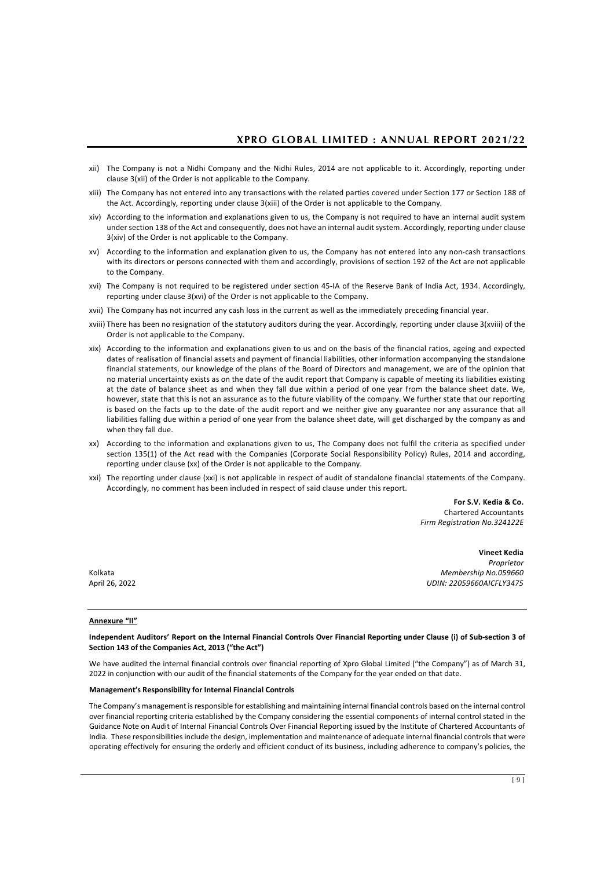- xii) The Company is not a Nidhi Company and the Nidhi Rules, 2014 are not applicable to it. Accordingly, reporting under clause 3(xii) of the Order is not applicable to the Company.
- xiii) The Company has not entered into any transactions with the related parties covered under Section 177 or Section 188 of the Act. Accordingly, reporting under clause 3(xiii) of the Order is not applicable to the Company.
- xiv) According to the information and explanations given to us, the Company is not required to have an internal audit system under section 138 of the Act and consequently, does not have an internal audit system. Accordingly, reporting under clause 3(xiv) of the Order is not applicable to the Company.
- xv) According to the information and explanation given to us, the Company has not entered into any non-cash transactions with its directors or persons connected with them and accordingly, provisions of section 192 of the Act are not applicable to the Company.
- xvi) The Company is not required to be registered under section 45-IA of the Reserve Bank of India Act, 1934. Accordingly, reporting under clause 3(xvi) of the Order is not applicable to the Company.
- xvii) The Company has not incurred any cash loss in the current as well as the immediately preceding financial year.
- xviii) There has been no resignation of the statutory auditors during the year. Accordingly, reporting under clause 3(xviii) of the Order is not applicable to the Company.
- xix) According to the information and explanations given to us and on the basis of the financial ratios, ageing and expected dates of realisation of financial assets and payment of financial liabilities, other information accompanying the standalone financial statements, our knowledge of the plans of the Board of Directors and management, we are of the opinion that no material uncertainty exists as on the date of the audit report that Company is capable of meeting its liabilities existing at the date of balance sheet as and when they fall due within a period of one year from the balance sheet date. We, however, state that this is not an assurance as to the future viability of the company. We further state that our reporting is based on the facts up to the date of the audit report and we neither give any guarantee nor any assurance that all liabilities falling due within a period of one year from the balance sheet date, will get discharged by the company as and when they fall due.
- xx) According to the information and explanations given to us, The Company does not fulfil the criteria as specified under section 135(1) of the Act read with the Companies (Corporate Social Responsibility Policy) Rules, 2014 and according, reporting under clause (xx) of the Order is not applicable to the Company.
- xxi) The reporting under clause (xxi) is not applicable in respect of audit of standalone financial statements of the Company. Accordingly, no comment has been included in respect of said clause under this report.

**For S.V. Kedia & Co.** Chartered Accountants *Firm Registration No.324122E* 

**Vineet Kedia**  *Proprietor*  Kolkata *Membership No.059660*  April 26, 2022 *UDIN: 22059660AICFLY3475* 

#### **Annexure "II"**

**Independent Auditors' Report on the Internal Financial Controls Over Financial Reporting under Clause (i) of Sub-section 3 of Section 143 of the Companies Act, 2013 ("the Act")**

We have audited the internal financial controls over financial reporting of Xpro Global Limited ("the Company") as of March 31, 2022 in conjunction with our audit of the financial statements of the Company for the year ended on that date.

#### **Management's Responsibility for Internal Financial Controls**

The Company's management is responsible for establishing and maintaining internal financial controls based on the internal control over financial reporting criteria established by the Company considering the essential components of internal control stated in the Guidance Note on Audit of Internal Financial Controls Over Financial Reporting issued by the Institute of Chartered Accountants of India. These responsibilities include the design, implementation and maintenance of adequate internal financial controls that were operating effectively for ensuring the orderly and efficient conduct of its business, including adherence to company's policies, the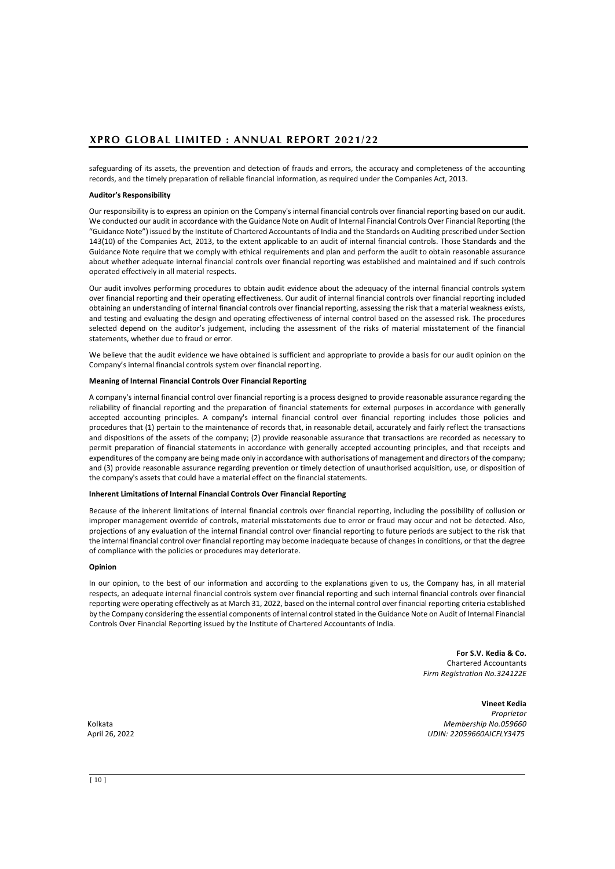safeguarding of its assets, the prevention and detection of frauds and errors, the accuracy and completeness of the accounting records, and the timely preparation of reliable financial information, as required under the Companies Act, 2013.

#### **Auditor's Responsibility**

Our responsibility is to express an opinion on the Company's internal financial controls over financial reporting based on our audit. We conducted our audit in accordance with the Guidance Note on Audit of Internal Financial Controls Over Financial Reporting (the "Guidance Note") issued by the Institute of Chartered Accountants of India and the Standards on Auditing prescribed under Section 143(10) of the Companies Act, 2013, to the extent applicable to an audit of internal financial controls. Those Standards and the Guidance Note require that we comply with ethical requirements and plan and perform the audit to obtain reasonable assurance about whether adequate internal financial controls over financial reporting was established and maintained and if such controls operated effectively in all material respects.

Our audit involves performing procedures to obtain audit evidence about the adequacy of the internal financial controls system over financial reporting and their operating effectiveness. Our audit of internal financial controls over financial reporting included obtaining an understanding of internal financial controls over financial reporting, assessing the risk that a material weakness exists, and testing and evaluating the design and operating effectiveness of internal control based on the assessed risk. The procedures selected depend on the auditor's judgement, including the assessment of the risks of material misstatement of the financial statements, whether due to fraud or error.

We believe that the audit evidence we have obtained is sufficient and appropriate to provide a basis for our audit opinion on the Company's internal financial controls system over financial reporting.

#### **Meaning of Internal Financial Controls Over Financial Reporting**

A company's internal financial control over financial reporting is a process designed to provide reasonable assurance regarding the reliability of financial reporting and the preparation of financial statements for external purposes in accordance with generally accepted accounting principles. A company's internal financial control over financial reporting includes those policies and procedures that (1) pertain to the maintenance of records that, in reasonable detail, accurately and fairly reflect the transactions and dispositions of the assets of the company; (2) provide reasonable assurance that transactions are recorded as necessary to permit preparation of financial statements in accordance with generally accepted accounting principles, and that receipts and expenditures of the company are being made only in accordance with authorisations of management and directors of the company; and (3) provide reasonable assurance regarding prevention or timely detection of unauthorised acquisition, use, or disposition of the company's assets that could have a material effect on the financial statements.

#### **Inherent Limitations of Internal Financial Controls Over Financial Reporting**

Because of the inherent limitations of internal financial controls over financial reporting, including the possibility of collusion or improper management override of controls, material misstatements due to error or fraud may occur and not be detected. Also, projections of any evaluation of the internal financial control over financial reporting to future periods are subject to the risk that the internal financial control over financial reporting may become inadequate because of changes in conditions, or that the degree of compliance with the policies or procedures may deteriorate.

#### **Opinion**

In our opinion, to the best of our information and according to the explanations given to us, the Company has, in all material respects, an adequate internal financial controls system over financial reporting and such internal financial controls over financial reporting were operating effectively as at March 31, 2022, based on the internal control over financial reporting criteria established by the Company considering the essential components of internal control stated in the Guidance Note on Audit of Internal Financial Controls Over Financial Reporting issued by the Institute of Chartered Accountants of India.

> **For S.V. Kedia & Co.** Chartered Accountants *Firm Registration No.324122E*

**Vineet Kedia**  *Proprietor*  Kolkata *Membership No.059660*  April 26, 2022 *UDIN: 22059660AICFLY3475*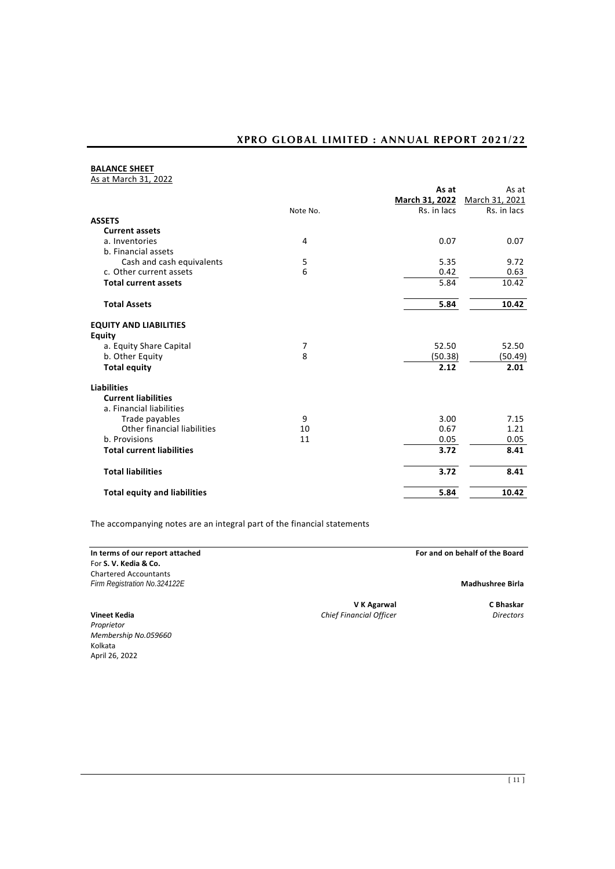### **BALANCE SHEET**

As at March 31, 2022

|                                     |          | As at          | As at          |
|-------------------------------------|----------|----------------|----------------|
|                                     |          | March 31, 2022 | March 31, 2021 |
|                                     | Note No. | Rs. in lacs    | Rs. in lacs    |
| <b>ASSETS</b>                       |          |                |                |
| <b>Current assets</b>               |          |                |                |
| a. Inventories                      | 4        | 0.07           | 0.07           |
| b. Financial assets                 |          |                |                |
| Cash and cash equivalents           | 5        | 5.35           | 9.72           |
| c. Other current assets             | 6        | 0.42           | 0.63           |
| <b>Total current assets</b>         |          | 5.84           | 10.42          |
| <b>Total Assets</b>                 |          | 5.84           | 10.42          |
| <b>EQUITY AND LIABILITIES</b>       |          |                |                |
| <b>Equity</b>                       |          |                |                |
| a. Equity Share Capital             | 7        | 52.50          | 52.50          |
| b. Other Equity                     | 8        | (50.38)        | (50.49)        |
| <b>Total equity</b>                 |          | 2.12           | 2.01           |
| <b>Liabilities</b>                  |          |                |                |
| <b>Current liabilities</b>          |          |                |                |
| a. Financial liabilities            |          |                |                |
| Trade payables                      | 9        | 3.00           | 7.15           |
| <b>Other financial liabilities</b>  | 10       | 0.67           | 1.21           |
| b. Provisions                       | 11       | 0.05           | 0.05           |
| <b>Total current liabilities</b>    |          | 3.72           | 8.41           |
| <b>Total liabilities</b>            |          | 3.72           | 8.41           |
| <b>Total equity and liabilities</b> |          | 5.84           | 10.42          |
|                                     |          |                |                |

The accompanying notes are an integral part of the financial statements

For **S. V. Kedia & Co.** Chartered Accountants *Firm Registration No.324122E* **Madhushree Birla**

**In terms of our report attached For and on behalf of the Board** 

**V K Agarwal C Bhaskar Vineet Kedia** *Chief Financial Officer Chief Financial Officer* 

*Proprietor Membership No.059660* Kolkata April 26, 2022

 $\overline{[11]}$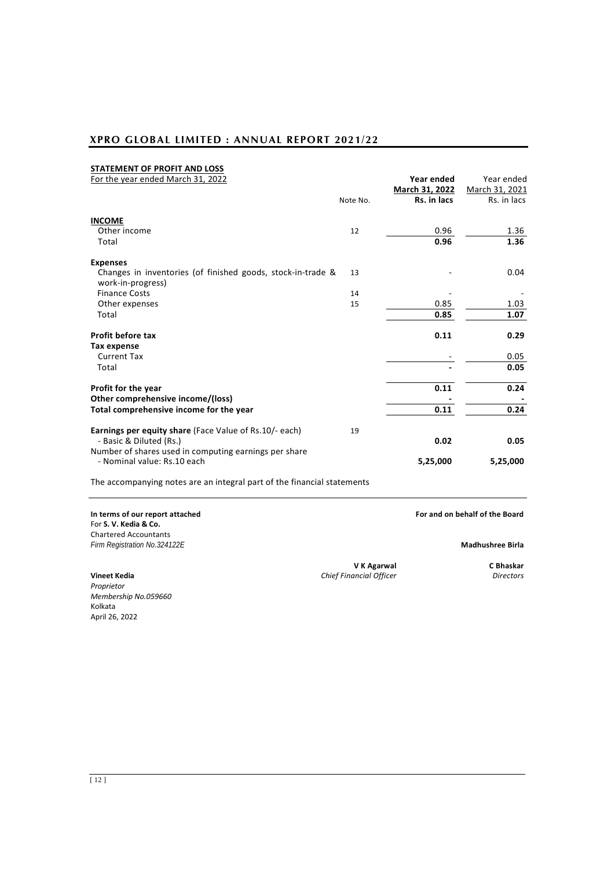| STATEMENT OF PROFIT AND LOSS<br>For the year ended March 31, 2022                    |          | Year ended<br>March 31, 2022 | Year ended<br>March 31, 2021 |
|--------------------------------------------------------------------------------------|----------|------------------------------|------------------------------|
|                                                                                      | Note No. | Rs. in lacs                  | Rs. in lacs                  |
| <b>INCOME</b>                                                                        |          |                              |                              |
| Other income                                                                         | 12       | 0.96                         | 1.36                         |
| Total                                                                                |          | 0.96                         | 1.36                         |
| <b>Expenses</b>                                                                      |          |                              |                              |
| Changes in inventories (of finished goods, stock-in-trade &<br>work-in-progress)     | 13       |                              | 0.04                         |
| <b>Finance Costs</b>                                                                 | 14       |                              |                              |
| Other expenses                                                                       | 15       | 0.85                         | 1.03                         |
| Total                                                                                |          | 0.85                         | 1.07                         |
| <b>Profit before tax</b><br>Tax expense                                              |          | 0.11                         | 0.29                         |
| <b>Current Tax</b>                                                                   |          |                              | 0.05                         |
| Total                                                                                |          |                              | 0.05                         |
| Profit for the year                                                                  |          | 0.11                         | 0.24                         |
| Other comprehensive income/(loss)                                                    |          |                              |                              |
| Total comprehensive income for the year                                              |          | 0.11                         | 0.24                         |
| Earnings per equity share (Face Value of Rs.10/- each)                               | 19       |                              |                              |
| - Basic & Diluted (Rs.)                                                              |          | 0.02                         | 0.05                         |
| Number of shares used in computing earnings per share<br>- Nominal value: Rs.10 each |          | 5,25,000                     | 5,25,000                     |

The accompanying notes are an integral part of the financial statements

**In terms of our report attached For and on behalf of the Board**  For **S. V. Kedia & Co.** Chartered Accountants *Firm Registration No.324122E* **Madhushree Birla**

**V K Agarwal C Bhaskar**

**Vineet Kedia** *Chief Financial Officer Directors Proprietor Membership No.059660* Kolkata April 26, 2022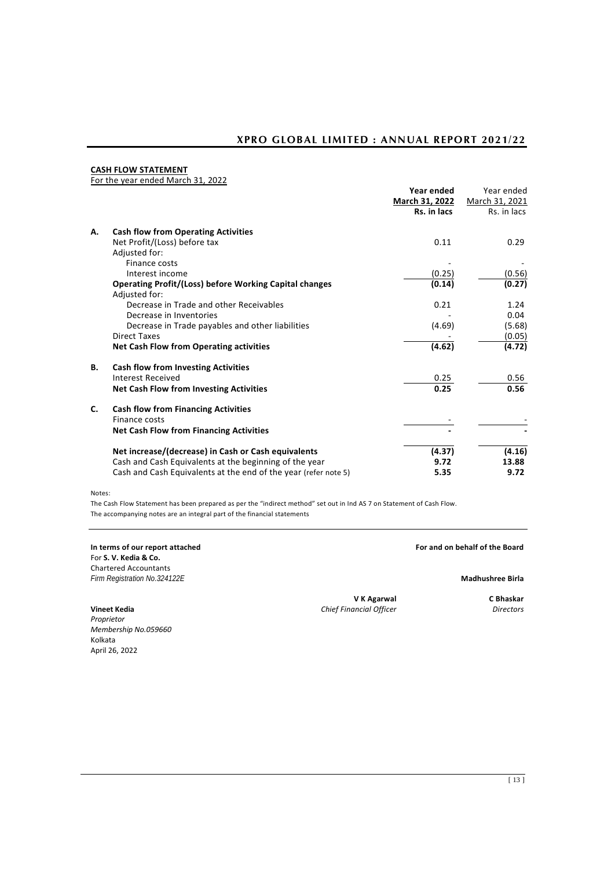### **CASH FLOW STATEMENT**

For the year ended March 31, 2022

|    |                                                                 | Year ended<br>March 31, 2022<br>Rs. in lacs | Year ended<br>March 31, 2021<br>Rs. in lacs |
|----|-----------------------------------------------------------------|---------------------------------------------|---------------------------------------------|
| А. | <b>Cash flow from Operating Activities</b>                      |                                             |                                             |
|    | Net Profit/(Loss) before tax                                    | 0.11                                        | 0.29                                        |
|    | Adjusted for:                                                   |                                             |                                             |
|    | Finance costs                                                   |                                             |                                             |
|    | Interest income                                                 | (0.25)                                      | (0.56)                                      |
|    | <b>Operating Profit/(Loss) before Working Capital changes</b>   | (0.14)                                      | (0.27)                                      |
|    | Adjusted for:                                                   |                                             |                                             |
|    | Decrease in Trade and other Receivables                         | 0.21                                        | 1.24                                        |
|    | Decrease in Inventories                                         |                                             | 0.04                                        |
|    | Decrease in Trade payables and other liabilities                | (4.69)                                      | (5.68)                                      |
|    | <b>Direct Taxes</b>                                             |                                             | (0.05)                                      |
|    | <b>Net Cash Flow from Operating activities</b>                  | (4.62)                                      | (4.72)                                      |
| В. | <b>Cash flow from Investing Activities</b>                      |                                             |                                             |
|    | <b>Interest Received</b>                                        | 0.25                                        | 0.56                                        |
|    | <b>Net Cash Flow from Investing Activities</b>                  | 0.25                                        | 0.56                                        |
| C. | <b>Cash flow from Financing Activities</b>                      |                                             |                                             |
|    | Finance costs                                                   |                                             |                                             |
|    | <b>Net Cash Flow from Financing Activities</b>                  |                                             |                                             |
|    | Net increase/(decrease) in Cash or Cash equivalents             | (4.37)                                      | (4.16)                                      |
|    | Cash and Cash Equivalents at the beginning of the year          | 9.72                                        | 13.88                                       |
|    | Cash and Cash Equivalents at the end of the year (refer note 5) | 5.35                                        | 9.72                                        |
|    |                                                                 |                                             |                                             |

Notes:

The Cash Flow Statement has been prepared as per the "indirect method" set out in Ind AS 7 on Statement of Cash Flow. The accompanying notes are an integral part of the financial statements

### **In terms of our report attached For and on behalf of the Board**  For **S. V. Kedia & Co.** Chartered Accountants *Firm Registration No.324122E* **Madhushree Birla**

**Vineet Kedia** *Chief Financial Officer Chief Financial Officer Proprietor Membership No.059660* Kolkata April 26, 2022

**V K Agarwal C Bhaskar**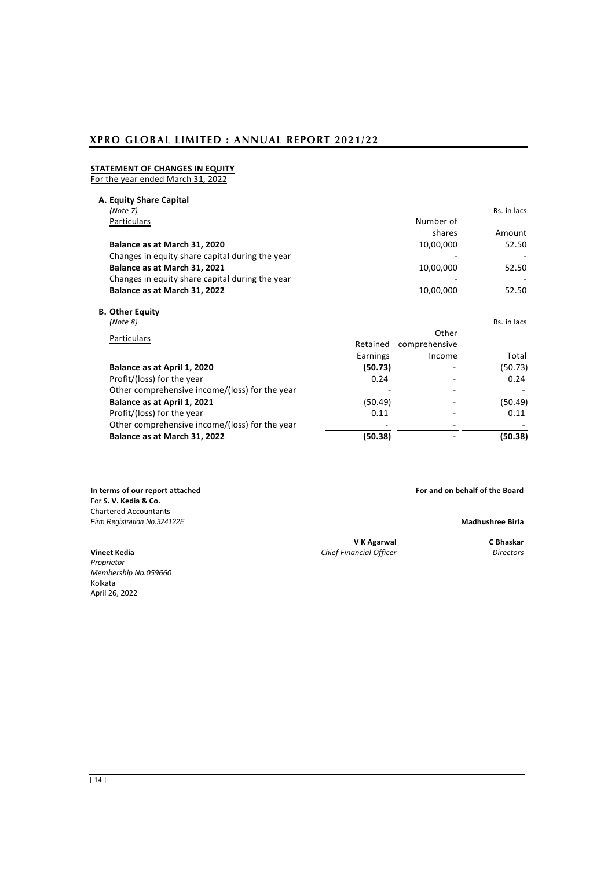### **STATEMENT OF CHANGES IN EQUITY**

For the year ended March 31, 2022

### **A. Equity Share Capital** *(Note 7)* Rs. in lacs Particulars Number of Shares Number of Shares Number of Shares Number of Shares Number of Shares Number of Shares Number of Shares Number of Shares Number of Shares Number of Shares Number of Shares Number of Shares Number  $\frac{\text{shares}}{10,00,000}$  Amount **Balance as at March 31, 2020** Changes in equity share capital during the year and the state of the state of the state of the Balance as at March 31, 2021  $\overline{52.50}$ **Balance as at March 31, 2021** changes in equity share capital during the year and the state of the state of the state of the Balance as at March 31, 2022 and the year and the state of the state of the Balance as at March 31, 2022 and the state of the s **Balance as at March 31, 2022 B. Other Equity**  *(Note 8)* Rs. in lacs Other

| Balance as at March 31, 2022                   | (50.38)  |               | (50.38) |
|------------------------------------------------|----------|---------------|---------|
| Other comprehensive income/(loss) for the year |          |               |         |
| Profit/(loss) for the year                     | 0.11     |               | 0.11    |
| Balance as at April 1, 2021                    | (50.49)  |               | (50.49) |
| Other comprehensive income/(loss) for the year |          |               |         |
| Profit/(loss) for the year                     | 0.24     |               | 0.24    |
| Balance as at April 1, 2020                    | (50.73)  |               | (50.73) |
|                                                | Earnings | Income        | Total   |
| Particulars                                    | Retained | comprehensive |         |
|                                                |          | Uther         |         |

**In terms of our report attached For and on behalf of the Board**  For **S. V. Kedia & Co.** Chartered Accountants *Firm Registration No.324122E* **Madhushree Birla**

**V K Agarwal C Bhaskar Vineet Kedia** *Chief Financial Officer Directors*

*Proprietor Membership No.059660* Kolkata April 26, 2022

 $[14]$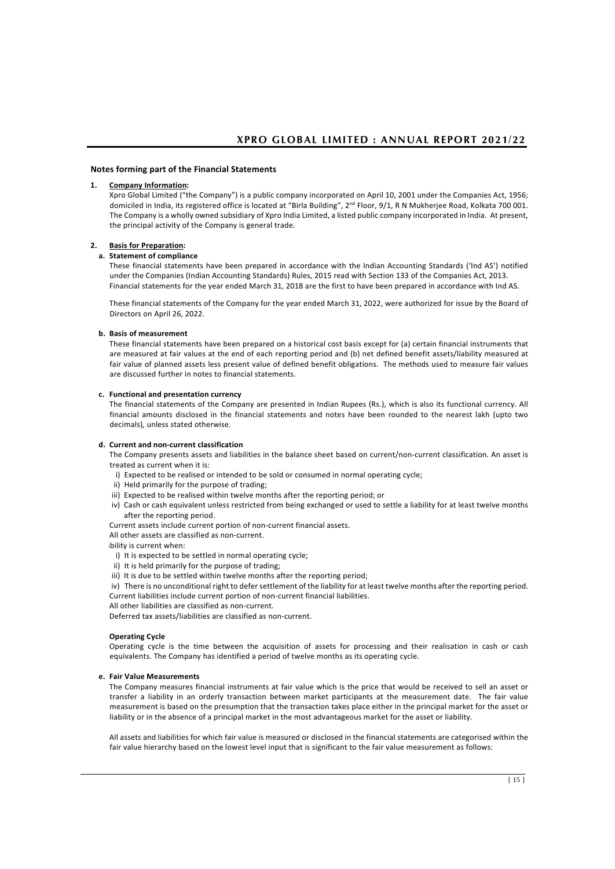#### **Notes forming part of the Financial Statements**

#### **1. Company Information:**

Xpro Global Limited ("the Company") is a public company incorporated on April 10, 2001 under the Companies Act, 1956; domiciled in India, its registered office is located at "Birla Building", 2<sup>nd</sup> Floor, 9/1, R N Mukherjee Road, Kolkata 700 001. The Company is a wholly owned subsidiary of Xpro India Limited, a listed public company incorporated in India. At present, the principal activity of the Company is general trade.

#### **2. Basis for Preparation:**

#### **a. Statement of compliance**

These financial statements have been prepared in accordance with the Indian Accounting Standards ('Ind AS') notified under the Companies (Indian Accounting Standards) Rules, 2015 read with Section 133 of the Companies Act, 2013. Financial statements for the year ended March 31, 2018 are the first to have been prepared in accordance with Ind AS.

These financial statements of the Company for the year ended March 31, 2022, were authorized for issue by the Board of Directors on April 26, 2022.

### **b. Basis of measurement**

These financial statements have been prepared on a historical cost basis except for (a) certain financial instruments that are measured at fair values at the end of each reporting period and (b) net defined benefit assets/liability measured at fair value of planned assets less present value of defined benefit obligations. The methods used to measure fair values are discussed further in notes to financial statements.

#### **c. Functional and presentation currency**

The financial statements of the Company are presented in Indian Rupees (Rs.), which is also its functional currency. All financial amounts disclosed in the financial statements and notes have been rounded to the nearest lakh (upto two decimals), unless stated otherwise.

#### **d. Current and non-current classification**

The Company presents assets and liabilities in the balance sheet based on current/non-current classification. An asset is treated as current when it is:

- i) Expected to be realised or intended to be sold or consumed in normal operating cycle;
- ii) Held primarily for the purpose of trading;
- iii) Expected to be realised within twelve months after the reporting period; or
- iv) Cash or cash equivalent unless restricted from being exchanged or used to settle a liability for at least twelve months after the reporting period.
- Current assets include current portion of non-current financial assets.

All other assets are classified as non-current.

bility is current when:

- i) It is expected to be settled in normal operating cycle;
- ii) It is held primarily for the purpose of trading;
- iii) It is due to be settled within twelve months after the reporting period;

iv) There is no unconditional right to defer settlement of the liability for at least twelve months after the reporting period. Current liabilities include current portion of non-current financial liabilities.

All other liabilities are classified as non-current.

Deferred tax assets/liabilities are classified as non-current.

### **Operating Cycle**

Operating cycle is the time between the acquisition of assets for processing and their realisation in cash or cash equivalents. The Company has identified a period of twelve months as its operating cycle.

#### **e. Fair Value Measurements**

The Company measures financial instruments at fair value which is the price that would be received to sell an asset or transfer a liability in an orderly transaction between market participants at the measurement date. The fair value measurement is based on the presumption that the transaction takes place either in the principal market for the asset or liability or in the absence of a principal market in the most advantageous market for the asset or liability.

All assets and liabilities for which fair value is measured or disclosed in the financial statements are categorised within the fair value hierarchy based on the lowest level input that is significant to the fair value measurement as follows: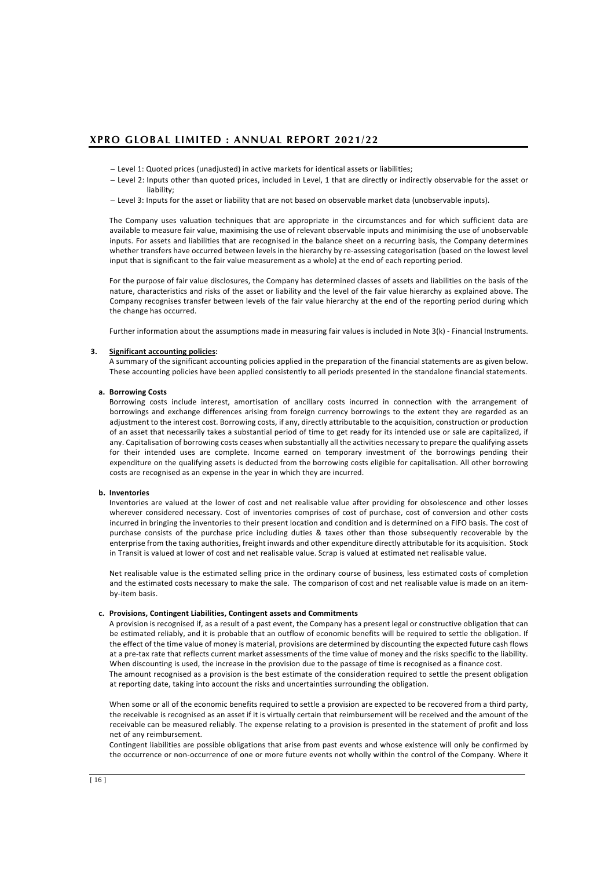- − Level 1: Quoted prices (unadjusted) in active markets for identical assets or liabilities;
- − Level 2: Inputs other than quoted prices, included in Level, 1 that are directly or indirectly observable for the asset or liability;
- − Level 3: Inputs for the asset or liability that are not based on observable market data (unobservable inputs).

The Company uses valuation techniques that are appropriate in the circumstances and for which sufficient data are available to measure fair value, maximising the use of relevant observable inputs and minimising the use of unobservable inputs. For assets and liabilities that are recognised in the balance sheet on a recurring basis, the Company determines whether transfers have occurred between levels in the hierarchy by re-assessing categorisation (based on the lowest level input that is significant to the fair value measurement as a whole) at the end of each reporting period.

For the purpose of fair value disclosures, the Company has determined classes of assets and liabilities on the basis of the nature, characteristics and risks of the asset or liability and the level of the fair value hierarchy as explained above. The Company recognises transfer between levels of the fair value hierarchy at the end of the reporting period during which the change has occurred.

Further information about the assumptions made in measuring fair values is included in Note 3(k) - Financial Instruments.

#### **3. Significant accounting policies:**

A summary of the significant accounting policies applied in the preparation of the financial statements are as given below. These accounting policies have been applied consistently to all periods presented in the standalone financial statements.

#### **a. Borrowing Costs**

Borrowing costs include interest, amortisation of ancillary costs incurred in connection with the arrangement of borrowings and exchange differences arising from foreign currency borrowings to the extent they are regarded as an adjustment to the interest cost. Borrowing costs, if any, directly attributable to the acquisition, construction or production of an asset that necessarily takes a substantial period of time to get ready for its intended use or sale are capitalized, if any. Capitalisation of borrowing costs ceases when substantially all the activities necessary to prepare the qualifying assets for their intended uses are complete. Income earned on temporary investment of the borrowings pending their expenditure on the qualifying assets is deducted from the borrowing costs eligible for capitalisation. All other borrowing costs are recognised as an expense in the year in which they are incurred.

#### **b. Inventories**

Inventories are valued at the lower of cost and net realisable value after providing for obsolescence and other losses wherever considered necessary. Cost of inventories comprises of cost of purchase, cost of conversion and other costs incurred in bringing the inventories to their present location and condition and is determined on a FIFO basis. The cost of purchase consists of the purchase price including duties & taxes other than those subsequently recoverable by the enterprise from the taxing authorities, freight inwards and other expenditure directly attributable for its acquisition. Stock in Transit is valued at lower of cost and net realisable value. Scrap is valued at estimated net realisable value.

Net realisable value is the estimated selling price in the ordinary course of business, less estimated costs of completion and the estimated costs necessary to make the sale. The comparison of cost and net realisable value is made on an itemby-item basis.

#### **c. Provisions, Contingent Liabilities, Contingent assets and Commitments**

A provision is recognised if, as a result of a past event, the Company has a present legal or constructive obligation that can be estimated reliably, and it is probable that an outflow of economic benefits will be required to settle the obligation. If the effect of the time value of money is material, provisions are determined by discounting the expected future cash flows at a pre-tax rate that reflects current market assessments of the time value of money and the risks specific to the liability. When discounting is used, the increase in the provision due to the passage of time is recognised as a finance cost. The amount recognised as a provision is the best estimate of the consideration required to settle the present obligation at reporting date, taking into account the risks and uncertainties surrounding the obligation.

When some or all of the economic benefits required to settle a provision are expected to be recovered from a third party, the receivable is recognised as an asset if it is virtually certain that reimbursement will be received and the amount of the receivable can be measured reliably. The expense relating to a provision is presented in the statement of profit and loss net of any reimbursement.

Contingent liabilities are possible obligations that arise from past events and whose existence will only be confirmed by the occurrence or non-occurrence of one or more future events not wholly within the control of the Company. Where it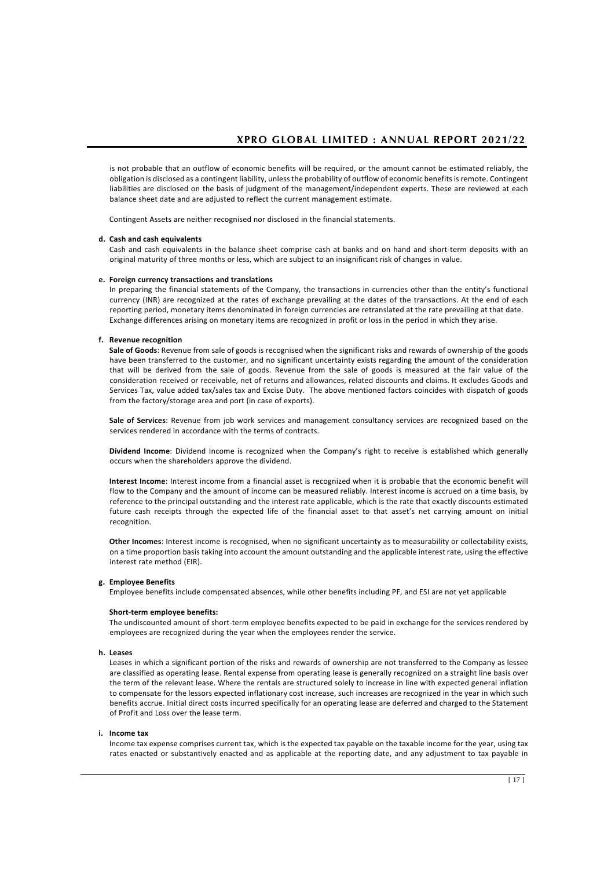is not probable that an outflow of economic benefits will be required, or the amount cannot be estimated reliably, the obligation is disclosed as a contingent liability, unless the probability of outflow of economic benefits is remote. Contingent liabilities are disclosed on the basis of judgment of the management/independent experts. These are reviewed at each balance sheet date and are adjusted to reflect the current management estimate.

Contingent Assets are neither recognised nor disclosed in the financial statements.

#### **d. Cash and cash equivalents**

Cash and cash equivalents in the balance sheet comprise cash at banks and on hand and short-term deposits with an original maturity of three months or less, which are subject to an insignificant risk of changes in value.

#### **e. Foreign currency transactions and translations**

In preparing the financial statements of the Company, the transactions in currencies other than the entity's functional currency (INR) are recognized at the rates of exchange prevailing at the dates of the transactions. At the end of each reporting period, monetary items denominated in foreign currencies are retranslated at the rate prevailing at that date. Exchange differences arising on monetary items are recognized in profit or loss in the period in which they arise.

#### **f. Revenue recognition**

**Sale of Goods**: Revenue from sale of goods is recognised when the significant risks and rewards of ownership of the goods have been transferred to the customer, and no significant uncertainty exists regarding the amount of the consideration that will be derived from the sale of goods. Revenue from the sale of goods is measured at the fair value of the consideration received or receivable, net of returns and allowances, related discounts and claims. It excludes Goods and Services Tax, value added tax/sales tax and Excise Duty. The above mentioned factors coincides with dispatch of goods from the factory/storage area and port (in case of exports).

**Sale of Services**: Revenue from job work services and management consultancy services are recognized based on the services rendered in accordance with the terms of contracts.

**Dividend Income**: Dividend Income is recognized when the Company's right to receive is established which generally occurs when the shareholders approve the dividend.

**Interest Income**: Interest income from a financial asset is recognized when it is probable that the economic benefit will flow to the Company and the amount of income can be measured reliably. Interest income is accrued on a time basis, by reference to the principal outstanding and the interest rate applicable, which is the rate that exactly discounts estimated future cash receipts through the expected life of the financial asset to that asset's net carrying amount on initial recognition.

**Other Incomes**: Interest income is recognised, when no significant uncertainty as to measurability or collectability exists, on a time proportion basis taking into account the amount outstanding and the applicable interest rate, using the effective interest rate method (EIR).

#### **g. Employee Benefits**

Employee benefits include compensated absences, while other benefits including PF, and ESI are not yet applicable

#### **Short-term employee benefits:**

The undiscounted amount of short-term employee benefits expected to be paid in exchange for the services rendered by employees are recognized during the year when the employees render the service.

#### **h. Leases**

Leases in which a significant portion of the risks and rewards of ownership are not transferred to the Company as lessee are classified as operating lease. Rental expense from operating lease is generally recognized on a straight line basis over the term of the relevant lease. Where the rentals are structured solely to increase in line with expected general inflation to compensate for the lessors expected inflationary cost increase, such increases are recognized in the year in which such benefits accrue. Initial direct costs incurred specifically for an operating lease are deferred and charged to the Statement of Profit and Loss over the lease term.

#### **i. Income tax**

Income tax expense comprises current tax, which is the expected tax payable on the taxable income for the year, using tax rates enacted or substantively enacted and as applicable at the reporting date, and any adjustment to tax payable in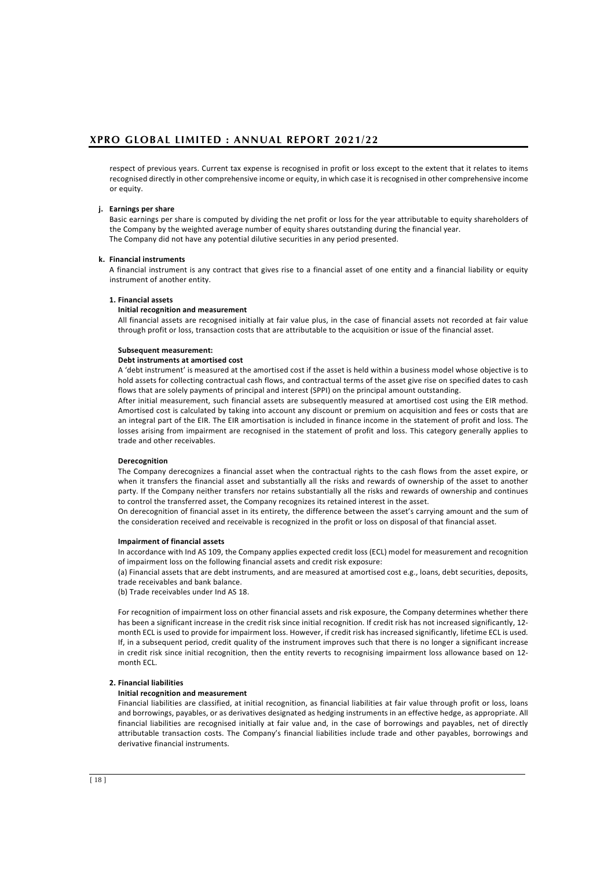respect of previous years. Current tax expense is recognised in profit or loss except to the extent that it relates to items recognised directly in other comprehensive income or equity, in which case it is recognised in other comprehensive income or equity.

#### **j. Earnings per share**

Basic earnings per share is computed by dividing the net profit or loss for the year attributable to equity shareholders of the Company by the weighted average number of equity shares outstanding during the financial year. The Company did not have any potential dilutive securities in any period presented.

#### **k. Financial instruments**

A financial instrument is any contract that gives rise to a financial asset of one entity and a financial liability or equity instrument of another entity.

#### **1. Financial assets**

#### **Initial recognition and measurement**

All financial assets are recognised initially at fair value plus, in the case of financial assets not recorded at fair value through profit or loss, transaction costs that are attributable to the acquisition or issue of the financial asset.

#### **Subsequent measurement:**

#### **Debt instruments at amortised cost**

A 'debt instrument' is measured at the amortised cost if the asset is held within a business model whose objective is to hold assets for collecting contractual cash flows, and contractual terms of the asset give rise on specified dates to cash flows that are solely payments of principal and interest (SPPI) on the principal amount outstanding.

After initial measurement, such financial assets are subsequently measured at amortised cost using the EIR method. Amortised cost is calculated by taking into account any discount or premium on acquisition and fees or costs that are an integral part of the EIR. The EIR amortisation is included in finance income in the statement of profit and loss. The losses arising from impairment are recognised in the statement of profit and loss. This category generally applies to trade and other receivables.

#### **Derecognition**

The Company derecognizes a financial asset when the contractual rights to the cash flows from the asset expire, or when it transfers the financial asset and substantially all the risks and rewards of ownership of the asset to another party. If the Company neither transfers nor retains substantially all the risks and rewards of ownership and continues to control the transferred asset, the Company recognizes its retained interest in the asset.

On derecognition of financial asset in its entirety, the difference between the asset's carrying amount and the sum of the consideration received and receivable is recognized in the profit or loss on disposal of that financial asset.

#### **Impairment of financial assets**

In accordance with Ind AS 109, the Company applies expected credit loss (ECL) model for measurement and recognition of impairment loss on the following financial assets and credit risk exposure:

(a) Financial assets that are debt instruments, and are measured at amortised cost e.g., loans, debt securities, deposits, trade receivables and bank balance.

(b) Trade receivables under Ind AS 18.

For recognition of impairment loss on other financial assets and risk exposure, the Company determines whether there has been a significant increase in the credit risk since initial recognition. If credit risk has not increased significantly, 12 month ECL is used to provide for impairment loss. However, if credit risk has increased significantly, lifetime ECL is used. If, in a subsequent period, credit quality of the instrument improves such that there is no longer a significant increase in credit risk since initial recognition, then the entity reverts to recognising impairment loss allowance based on 12 month ECL.

#### **2. Financial liabilities**

#### **Initial recognition and measurement**

Financial liabilities are classified, at initial recognition, as financial liabilities at fair value through profit or loss, loans and borrowings, payables, or as derivatives designated as hedging instruments in an effective hedge, as appropriate. All financial liabilities are recognised initially at fair value and, in the case of borrowings and payables, net of directly attributable transaction costs. The Company's financial liabilities include trade and other payables, borrowings and derivative financial instruments.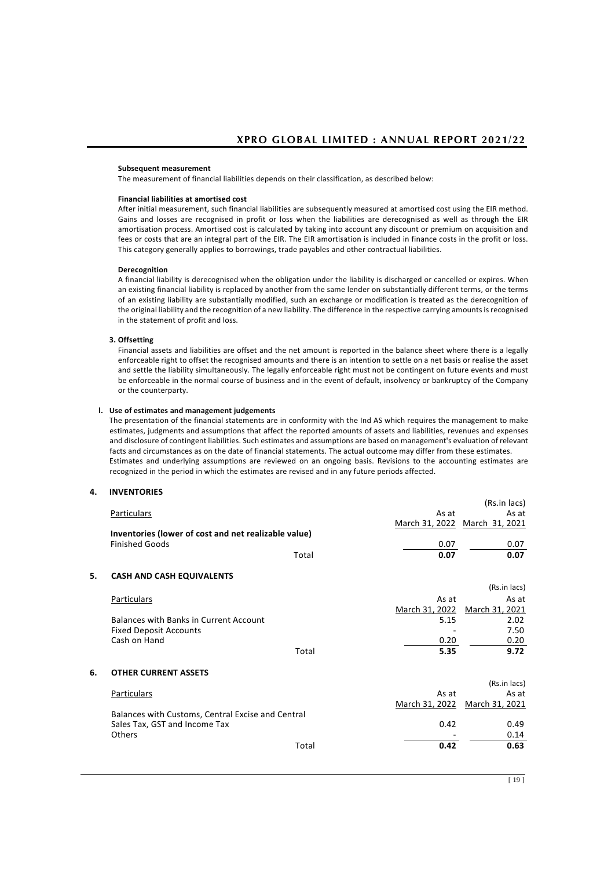#### **Subsequent measurement**

The measurement of financial liabilities depends on their classification, as described below:

#### **Financial liabilities at amortised cost**

After initial measurement, such financial liabilities are subsequently measured at amortised cost using the EIR method. Gains and losses are recognised in profit or loss when the liabilities are derecognised as well as through the EIR amortisation process. Amortised cost is calculated by taking into account any discount or premium on acquisition and fees or costs that are an integral part of the EIR. The EIR amortisation is included in finance costs in the profit or loss. This category generally applies to borrowings, trade payables and other contractual liabilities.

#### **Derecognition**

A financial liability is derecognised when the obligation under the liability is discharged or cancelled or expires. When an existing financial liability is replaced by another from the same lender on substantially different terms, or the terms of an existing liability are substantially modified, such an exchange or modification is treated as the derecognition of the original liability and the recognition of a new liability. The difference in the respective carrying amounts is recognised in the statement of profit and loss.

#### **3. Offsetting**

Financial assets and liabilities are offset and the net amount is reported in the balance sheet where there is a legally enforceable right to offset the recognised amounts and there is an intention to settle on a net basis or realise the asset and settle the liability simultaneously. The legally enforceable right must not be contingent on future events and must be enforceable in the normal course of business and in the event of default, insolvency or bankruptcy of the Company or the counterparty.

#### **l. Use of estimates and management judgements**

The presentation of the financial statements are in conformity with the Ind AS which requires the management to make estimates, judgments and assumptions that affect the reported amounts of assets and liabilities, revenues and expenses and disclosure of contingent liabilities. Such estimates and assumptions are based on management's evaluation of relevant facts and circumstances as on the date of financial statements. The actual outcome may differ from these estimates. Estimates and underlying assumptions are reviewed on an ongoing basis. Revisions to the accounting estimates are recognized in the period in which the estimates are revised and in any future periods affected.

#### **4. INVENTORIES**

|    |                                                      |       |                | (Rs.in lacs)                  |
|----|------------------------------------------------------|-------|----------------|-------------------------------|
|    | <b>Particulars</b>                                   |       | As at          | As at                         |
|    |                                                      |       |                | March 31, 2022 March 31, 2021 |
|    | Inventories (lower of cost and net realizable value) |       |                |                               |
|    | <b>Finished Goods</b>                                |       | 0.07           | 0.07                          |
|    |                                                      | Total | 0.07           | 0.07                          |
| 5. | <b>CASH AND CASH EQUIVALENTS</b>                     |       |                |                               |
|    |                                                      |       |                | (Rs.in lacs)                  |
|    | Particulars                                          |       | As at          | As at                         |
|    |                                                      |       | March 31, 2022 | March 31, 2021                |
|    | <b>Balances with Banks in Current Account</b>        |       | 5.15           | 2.02                          |
|    | <b>Fixed Deposit Accounts</b>                        |       |                | 7.50                          |
|    | Cash on Hand                                         |       | 0.20           | 0.20                          |
|    |                                                      | Total | 5.35           | 9.72                          |
| 6. | <b>OTHER CURRENT ASSETS</b>                          |       |                |                               |
|    |                                                      |       |                | (Rs.in lacs)                  |
|    | Particulars                                          |       | As at          | As at                         |
|    |                                                      |       | March 31, 2022 | March 31, 2021                |
|    | Balances with Customs, Central Excise and Central    |       |                |                               |
|    | Sales Tax, GST and Income Tax                        |       | 0.42           | 0.49                          |
|    | <b>Others</b>                                        |       |                | 0.14                          |
|    |                                                      | Total | 0.42           | 0.63                          |
|    |                                                      |       |                |                               |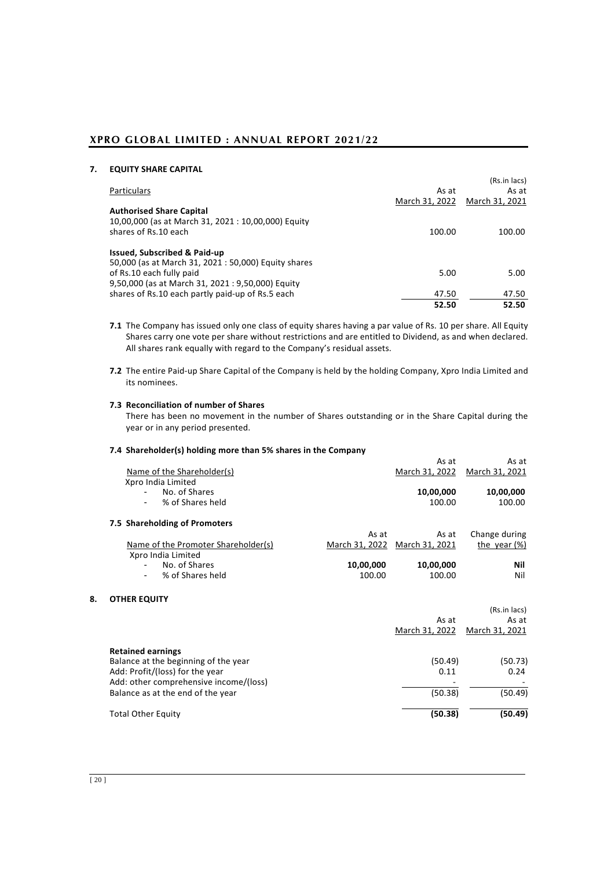### **7. EQUITY SHARE CAPITAL**

|                                                      |                | (Rs.in lacs)   |
|------------------------------------------------------|----------------|----------------|
| <b>Particulars</b>                                   | As at          | As at          |
|                                                      | March 31, 2022 | March 31, 2021 |
| <b>Authorised Share Capital</b>                      |                |                |
| 10,00,000 (as at March 31, 2021 : 10,00,000) Equity  |                |                |
| shares of Rs.10 each                                 | 100.00         | 100.00         |
| Issued, Subscribed & Paid-up                         |                |                |
| 50,000 (as at March 31, 2021 : 50,000) Equity shares |                |                |
| of Rs.10 each fully paid                             | 5.00           | 5.00           |
| 9,50,000 (as at March 31, 2021 : 9,50,000) Equity    |                |                |
| shares of Rs.10 each partly paid-up of Rs.5 each     | 47.50          | 47.50          |
|                                                      | 52.50          | 52.50          |

- **7.1** The Company has issued only one class of equity shares having a par value of Rs. 10 per share. All Equity Shares carry one vote per share without restrictions and are entitled to Dividend, as and when declared. All shares rank equally with regard to the Company's residual assets.
- **7.2** The entire Paid-up Share Capital of the Company is held by the holding Company, Xpro India Limited and its nominees.

### **7.3 Reconciliation of number of Shares**

There has been no movement in the number of Shares outstanding or in the Share Capital during the year or in any period presented.

### **7.4 Shareholder(s) holding more than 5% shares in the Company**

|    |                                        |                | As at          | As at           |
|----|----------------------------------------|----------------|----------------|-----------------|
|    | Name of the Shareholder(s)             |                | March 31, 2022 | March 31, 2021  |
|    | Xpro India Limited                     |                |                |                 |
|    | No. of Shares                          |                | 10,00,000      | 10,00,000       |
|    | % of Shares held                       |                | 100.00         | 100.00          |
|    | 7.5 Shareholding of Promoters          |                |                |                 |
|    |                                        | As at          | As at          | Change during   |
|    | Name of the Promoter Shareholder(s)    | March 31, 2022 | March 31, 2021 | the year $(\%)$ |
|    | Xpro India Limited                     |                |                |                 |
|    | No. of Shares                          | 10,00,000      | 10,00,000      | Nil             |
|    | % of Shares held                       | 100.00         | 100.00         | Nil             |
| 8. | <b>OTHER EQUITY</b>                    |                |                |                 |
|    |                                        |                |                |                 |
|    |                                        |                |                | (Rs.in lacs)    |
|    |                                        |                | As at          | As at           |
|    |                                        |                | March 31, 2022 | March 31, 2021  |
|    | <b>Retained earnings</b>               |                |                |                 |
|    | Balance at the beginning of the year   |                | (50.49)        | (50.73)         |
|    | Add: Profit/(loss) for the year        |                | 0.11           | 0.24            |
|    | Add: other comprehensive income/(loss) |                |                |                 |
|    | Balance as at the end of the year      |                | (50.38)        | (50.49)         |
|    | <b>Total Other Equity</b>              |                | (50.38)        | (50.49)         |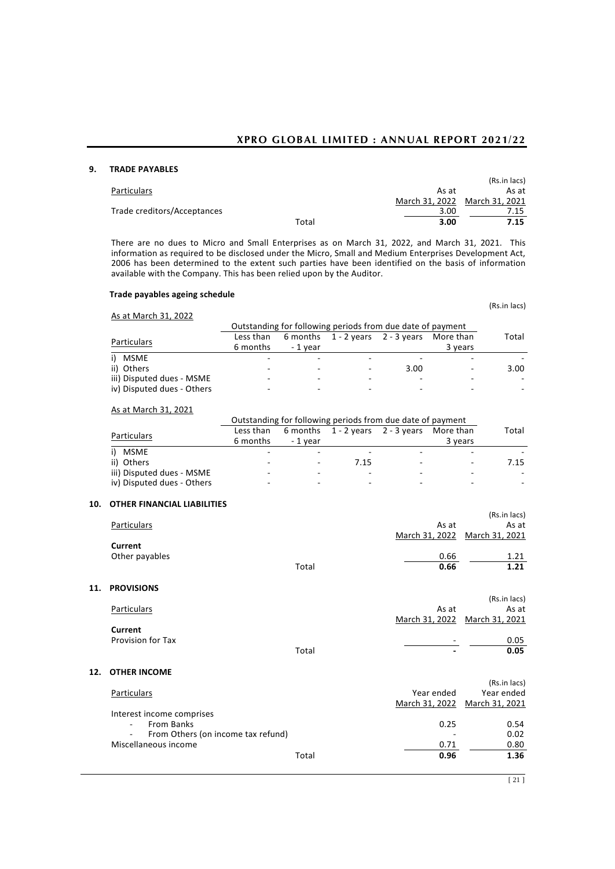### **9. TRADE PAYABLES**

| $\cdots$                    |       |                |                |
|-----------------------------|-------|----------------|----------------|
|                             |       |                | (Rs.in lacs)   |
| Particulars                 |       | As at          | As at          |
|                             |       | March 31, 2022 | March 31, 2021 |
| Trade creditors/Acceptances |       | 3.00           | 7.15           |
|                             | Total | 3.00           | 7.15           |
|                             |       |                |                |

There are no dues to Micro and Small Enterprises as on March 31, 2022, and March 31, 2021. This information as required to be disclosed under the Micro, Small and Medium Enterprises Development Act, 2006 has been determined to the extent such parties have been identified on the basis of information available with the Company. This has been relied upon by the Auditor.

#### **Trade payables ageing schedule**

#### As at March 31, 2022 Outstanding for following periods from due date of payment **Particulars** 6 months 6 months 1 - 2 years 2 - 3 years More than - 1 year 3 years Total i) MSME - - - - - ii) Others 3.00 - - - - - - - - 3.00 - 3.00 iii) Disputed dues - MSME - - - - - iv) Disputed dues - Others

### As at March 31, 2021

|                            | Outstanding for following periods from due date of payment |          |                                      |  |           |       |
|----------------------------|------------------------------------------------------------|----------|--------------------------------------|--|-----------|-------|
| Particulars                | Less than                                                  |          | 6 months $1 - 2$ years $2 - 3$ years |  | More than | Total |
|                            | 6 months                                                   | - 1 vear |                                      |  | 3 years   |       |
| i) MSME                    |                                                            |          |                                      |  |           |       |
| ii) Others                 | -                                                          |          | 7.15                                 |  |           | 7.15  |
| iii) Disputed dues - MSME  | -                                                          |          | $\overline{\phantom{0}}$             |  |           |       |
| iv) Disputed dues - Others |                                                            |          | -                                    |  |           |       |

#### **10. OTHER FINANCIAL LIABILITIES**

|     | Particulars                             |       | As at          | (Rs.in lacs)<br>As at |
|-----|-----------------------------------------|-------|----------------|-----------------------|
|     |                                         |       | March 31, 2022 | March 31, 2021        |
|     | Current                                 |       |                |                       |
|     | Other payables                          |       | 0.66           | 1.21                  |
|     |                                         | Total | 0.66           | 1.21                  |
|     |                                         |       |                |                       |
| 11. | <b>PROVISIONS</b>                       |       |                |                       |
|     |                                         |       |                | (Rs.in lacs)          |
|     | Particulars                             |       | As at          | As at                 |
|     |                                         |       | March 31, 2022 |                       |
|     | Current                                 |       |                | March 31, 2021        |
|     |                                         |       |                |                       |
|     | <b>Provision for Tax</b>                |       |                | 0.05                  |
|     |                                         | Total |                | 0.05                  |
| 12. |                                         |       |                |                       |
|     | <b>OTHER INCOME</b>                     |       |                |                       |
|     |                                         |       |                | (Rs.in lacs)          |
|     | Particulars                             |       | Year ended     | Year ended            |
|     |                                         |       | March 31, 2022 | March 31, 2021        |
|     | Interest income comprises               |       |                |                       |
|     | From Banks<br>$\overline{\phantom{0}}$  |       | 0.25           | 0.54                  |
|     | From Others (on income tax refund)<br>٠ |       |                | 0.02                  |
|     | Miscellaneous income                    |       | 0.71           | 0.80                  |

Total **0.96 1.36**

[ 21 ]

(Rs.in lacs)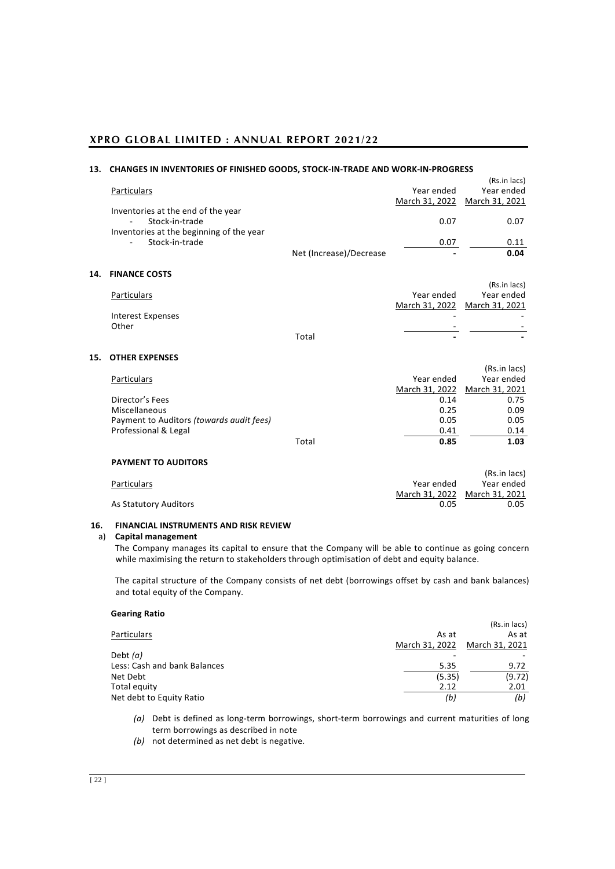### **13. CHANGES IN INVENTORIES OF FINISHED GOODS, STOCK-IN-TRADE AND WORK-IN-PROGRESS**

|     | -----------                                                |                         |                |                |
|-----|------------------------------------------------------------|-------------------------|----------------|----------------|
|     |                                                            |                         |                | (Rs.in lacs)   |
|     | <b>Particulars</b>                                         |                         | Year ended     | Year ended     |
|     |                                                            |                         | March 31, 2022 | March 31, 2021 |
|     | Inventories at the end of the year<br>Stock-in-trade       |                         | 0.07           | 0.07           |
|     | Inventories at the beginning of the year<br>Stock-in-trade |                         | 0.07           | 0.11           |
|     |                                                            | Net (Increase)/Decrease |                | 0.04           |
| 14. | <b>FINANCE COSTS</b>                                       |                         |                |                |
|     |                                                            |                         |                | (Rs.in lacs)   |
|     | Particulars                                                |                         | Year ended     | Year ended     |
|     |                                                            |                         | March 31, 2022 | March 31, 2021 |
|     | <b>Interest Expenses</b><br>Other                          |                         |                |                |
|     |                                                            | Total                   |                |                |
|     |                                                            |                         |                |                |
| 15. | <b>OTHER EXPENSES</b>                                      |                         |                |                |
|     |                                                            |                         |                | (Rs.in lacs)   |
|     | Particulars                                                |                         | Year ended     | Year ended     |
|     |                                                            |                         | March 31, 2022 | March 31, 2021 |
|     | Director's Fees                                            |                         | 0.14           | 0.75           |
|     | Miscellaneous                                              |                         | 0.25           | 0.09           |
|     | Payment to Auditors (towards audit fees)                   |                         | 0.05           | 0.05           |
|     | Professional & Legal                                       |                         | 0.41           | 0.14           |
|     |                                                            | Total                   | 0.85           | 1.03           |
|     | <b>PAYMENT TO AUDITORS</b>                                 |                         |                |                |
|     |                                                            |                         |                | (Rs.in lacs)   |
|     | Particulars                                                |                         | Year ended     | Year ended     |
|     |                                                            |                         | March 31, 2022 | March 31, 2021 |
|     | As Statutory Auditors                                      |                         | 0.05           | 0.05           |

### **16. FINANCIAL INSTRUMENTS AND RISK REVIEW**

### a) **Capital management**

The Company manages its capital to ensure that the Company will be able to continue as going concern while maximising the return to stakeholders through optimisation of debt and equity balance.

The capital structure of the Company consists of net debt (borrowings offset by cash and bank balances) and total equity of the Company.

| <b>Gearing Ratio</b>         |                |                |
|------------------------------|----------------|----------------|
|                              |                | (Rs.in lacs)   |
| Particulars                  | As at          | As at          |
|                              | March 31, 2022 | March 31, 2021 |
| Debt $(a)$                   |                |                |
| Less: Cash and bank Balances | 5.35           | 9.72           |
| Net Debt                     | (5.35)         | (9.72)         |
| Total equity                 | 2.12           | 2.01           |
| Net debt to Equity Ratio     | (b)            | (b)            |

*(a)* Debt is defined as long-term borrowings, short-term borrowings and current maturities of long term borrowings as described in note

*(b)* not determined as net debt is negative.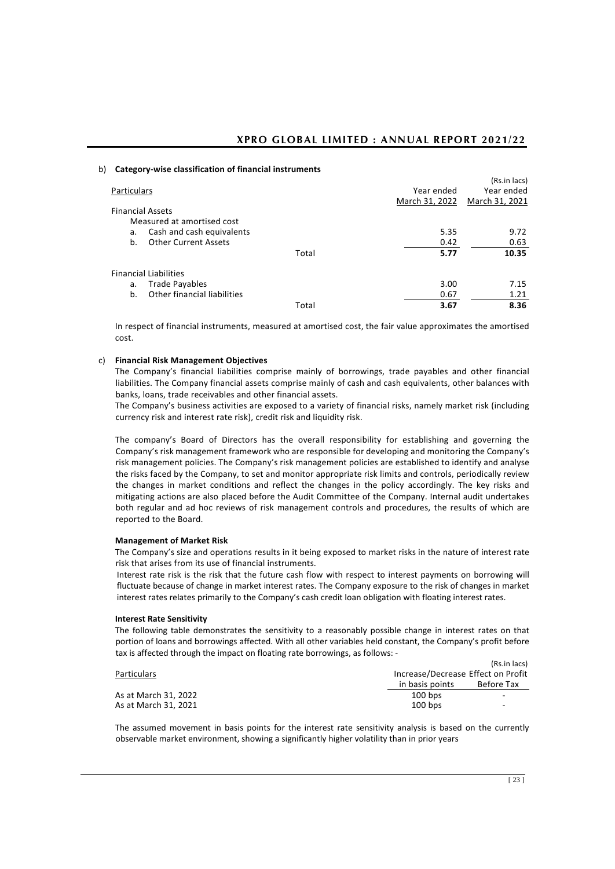#### b) **Category-wise classification of financial instruments**

|             |                              |            |                | (Rs.in lacs)   |
|-------------|------------------------------|------------|----------------|----------------|
| Particulars |                              | Year ended | Year ended     |                |
|             |                              |            | March 31, 2022 | March 31, 2021 |
|             | <b>Financial Assets</b>      |            |                |                |
|             | Measured at amortised cost   |            |                |                |
| a.          | Cash and cash equivalents    |            | 5.35           | 9.72           |
| b.          | <b>Other Current Assets</b>  |            | 0.42           | 0.63           |
|             |                              | Total      | 5.77           | 10.35          |
|             | <b>Financial Liabilities</b> |            |                |                |
| a.          | <b>Trade Payables</b>        |            | 3.00           | 7.15           |
| b.          | Other financial liabilities  |            | 0.67           | 1.21           |
|             |                              | Total      | 3.67           | 8.36           |

In respect of financial instruments, measured at amortised cost, the fair value approximates the amortised cost.

#### c) **Financial Risk Management Objectives**

The Company's financial liabilities comprise mainly of borrowings, trade payables and other financial liabilities. The Company financial assets comprise mainly of cash and cash equivalents, other balances with banks, loans, trade receivables and other financial assets.

The Company's business activities are exposed to a variety of financial risks, namely market risk (including currency risk and interest rate risk), credit risk and liquidity risk.

The company's Board of Directors has the overall responsibility for establishing and governing the Company's risk management framework who are responsible for developing and monitoring the Company's risk management policies. The Company's risk management policies are established to identify and analyse the risks faced by the Company, to set and monitor appropriate risk limits and controls, periodically review the changes in market conditions and reflect the changes in the policy accordingly. The key risks and mitigating actions are also placed before the Audit Committee of the Company. Internal audit undertakes both regular and ad hoc reviews of risk management controls and procedures, the results of which are reported to the Board.

#### **Management of Market Risk**

The Company's size and operations results in it being exposed to market risks in the nature of interest rate risk that arises from its use of financial instruments.

Interest rate risk is the risk that the future cash flow with respect to interest payments on borrowing will fluctuate because of change in market interest rates. The Company exposure to the risk of changes in market interest rates relates primarily to the Company's cash credit loan obligation with floating interest rates.

#### **Interest Rate Sensitivity**

The following table demonstrates the sensitivity to a reasonably possible change in interest rates on that portion of loans and borrowings affected. With all other variables held constant, the Company's profit before tax is affected through the impact on floating rate borrowings, as follows: -

|                      | (Rs.in lacs)                       |  |  |
|----------------------|------------------------------------|--|--|
| Particulars          | Increase/Decrease Effect on Profit |  |  |
|                      | in basis points<br>Before Tax      |  |  |
| As at March 31, 2022 | $100$ bps<br>۰                     |  |  |
| As at March 31, 2021 | $100$ bps<br>۰                     |  |  |

The assumed movement in basis points for the interest rate sensitivity analysis is based on the currently observable market environment, showing a significantly higher volatility than in prior years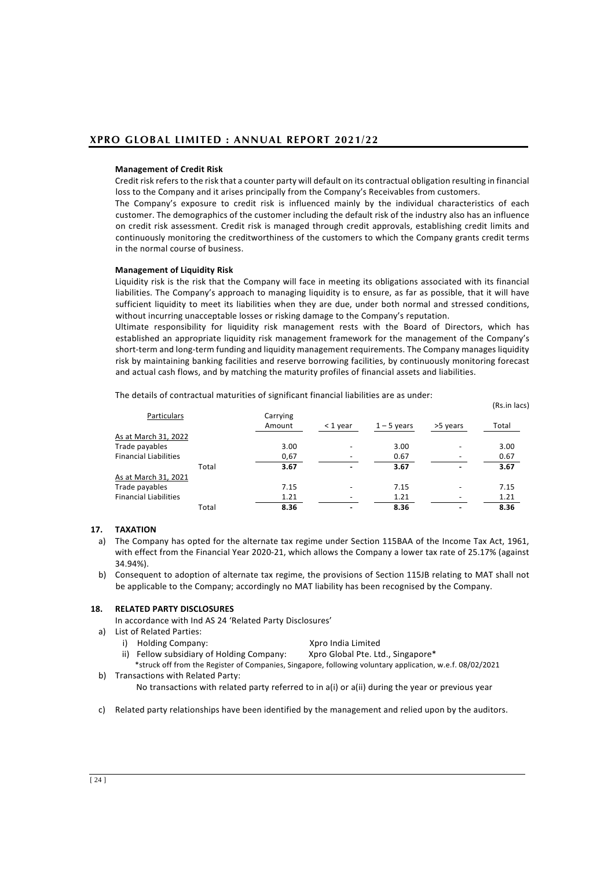### **Management of Credit Risk**

Credit risk refers to the risk that a counter party will default on its contractual obligation resulting in financial loss to the Company and it arises principally from the Company's Receivables from customers.

The Company's exposure to credit risk is influenced mainly by the individual characteristics of each customer. The demographics of the customer including the default risk of the industry also has an influence on credit risk assessment. Credit risk is managed through credit approvals, establishing credit limits and continuously monitoring the creditworthiness of the customers to which the Company grants credit terms in the normal course of business.

### **Management of Liquidity Risk**

Liquidity risk is the risk that the Company will face in meeting its obligations associated with its financial liabilities. The Company's approach to managing liquidity is to ensure, as far as possible, that it will have sufficient liquidity to meet its liabilities when they are due, under both normal and stressed conditions, without incurring unacceptable losses or risking damage to the Company's reputation.

Ultimate responsibility for liquidity risk management rests with the Board of Directors, which has established an appropriate liquidity risk management framework for the management of the Company's short-term and long-term funding and liquidity management requirements. The Company manages liquidity risk by maintaining banking facilities and reserve borrowing facilities, by continuously monitoring forecast and actual cash flows, and by matching the maturity profiles of financial assets and liabilities.

The details of contractual maturities of significant financial liabilities are as under:

|          |                |               |          | (Rs.in lacs) |
|----------|----------------|---------------|----------|--------------|
| Carrying |                |               |          |              |
| Amount   | $<$ 1 year     | $1 - 5$ years | >5 years | Total        |
|          |                |               |          |              |
| 3.00     |                | 3.00          |          | 3.00         |
| 0,67     | -              | 0.67          | -        | 0.67         |
| 3.67     | ۰              | 3.67          | -        | 3.67         |
|          |                |               |          |              |
| 7.15     | ٠              | 7.15          | -        | 7.15         |
| 1.21     | -              | 1.21          |          | 1.21         |
| 8.36     |                | 8.36          |          | 8.36         |
|          | Total<br>Total |               |          |              |

### **17. TAXATION**

- a) The Company has opted for the alternate tax regime under Section 115BAA of the Income Tax Act, 1961, with effect from the Financial Year 2020-21, which allows the Company a lower tax rate of 25.17% (against 34.94%).
- b) Consequent to adoption of alternate tax regime, the provisions of Section 115JB relating to MAT shall not be applicable to the Company; accordingly no MAT liability has been recognised by the Company.

### **18. RELATED PARTY DISCLOSURES**

In accordance with Ind AS 24 'Related Party Disclosures'

- a) List of Related Parties:
	- i) Holding Company: Xpro India Limited
	- ii) Fellow subsidiary of Holding Company: Xpro Global Pte. Ltd., Singapore\*
- \*struck off from the Register of Companies, Singapore, following voluntary application, w.e.f. 08/02/2021 b) Transactions with Related Party:

No transactions with related party referred to in a(i) or a(ii) during the year or previous year

c) Related party relationships have been identified by the management and relied upon by the auditors.